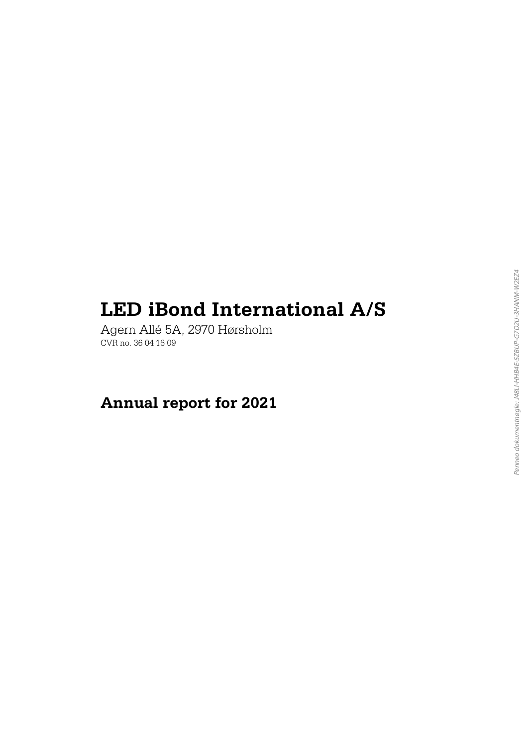# **LED iBond International A/S**

Agern All é 5A, 2970 H ørsholm CVR no. 36 04 16 09

# **Annual report for 2021**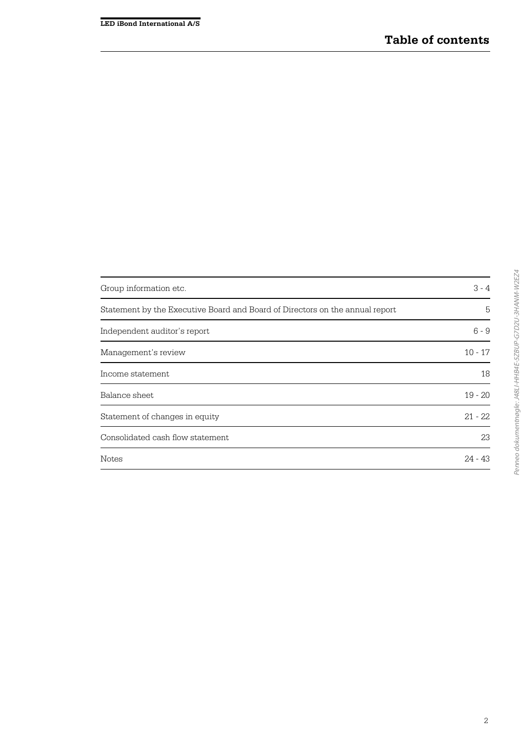| Group information etc.                                                       | $3 - 4$   |
|------------------------------------------------------------------------------|-----------|
| Statement by the Executive Board and Board of Directors on the annual report | 5         |
| Independent auditor's report                                                 | $6 - 9$   |
| Management's review                                                          | $10 - 17$ |
| Income statement                                                             | 18        |
| Balance sheet                                                                | $19 - 20$ |
| Statement of changes in equity                                               | $21 - 22$ |
| Consolidated cash flow statement                                             | 23        |
| <b>Notes</b>                                                                 | $24 - 43$ |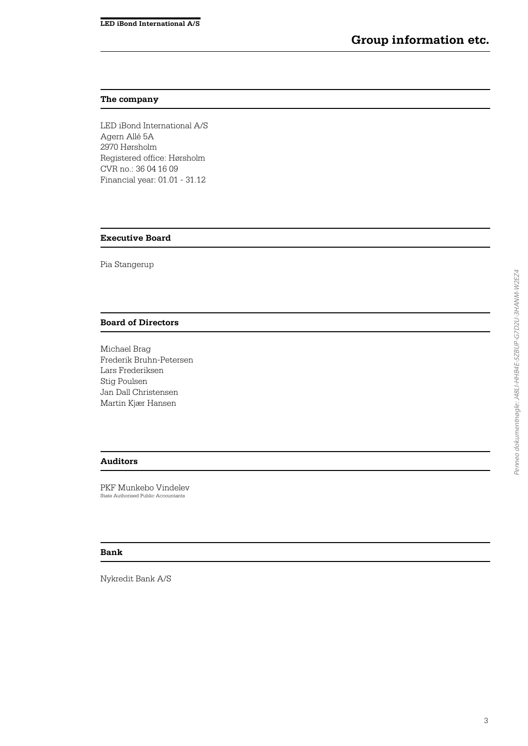#### **The company**

LED iBond International A/S Agern Allé 5A 2970 Hørsholm Registered office: Hørsholm CVR no.: 36 04 16 09 Financial year: 01.01 - 31.12

#### **Executive Board**

Pia Stangerup

#### **Board of Directors**

Michael Brag Frederik Bruhn-Petersen Lars Frederiksen Stig Poulsen Jan Dall Christensen Martin Kjær Hansen

### **Auditors**

PKF Munkebo Vindelev State Authorised Public Accountants

#### **Bank**

Nykredit Bank A/S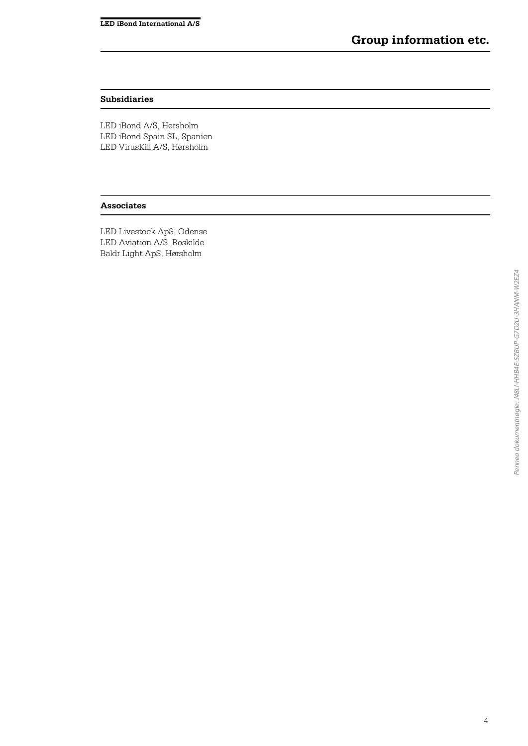#### **Subsidiaries**

LED iBond A/S, Hørsholm LED iBond Spain SL, Spanien LED VirusKill A/S, Hørsholm

#### **Associates**

LED Livestock ApS, Odense LED Aviation A/S, Roskilde Baldr Light ApS, Hørsholm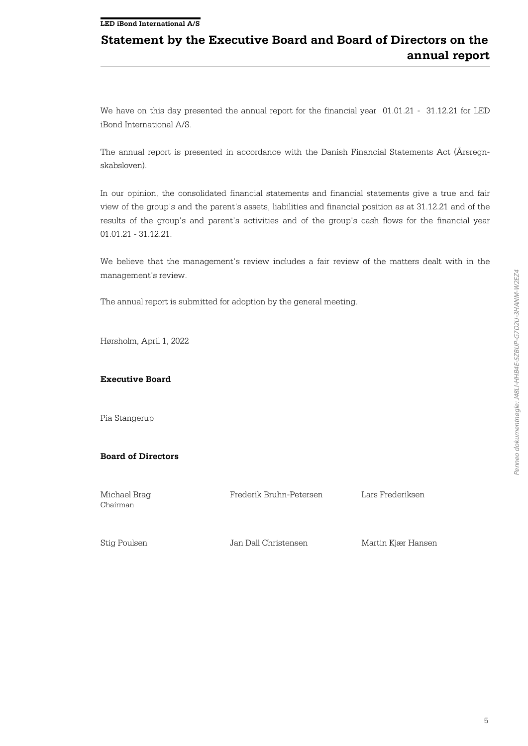#### **LED iBond International A/S**

# **Statement by the Executive Board and Board of Directors on the annual report**

We have on this day presented the annual report for the financial year 01.01.21 - 31.12.21 for LED iBond International A/S.

The annual report is presented in accordance with the Danish Financial Statements Act (Årsregnskabsloven).

In our opinion, the consolidated financial statements and financial statements give a true and fair view of the group's and the parent's assets, liabilities and financial position as at 31.12.21 and of the results of the group's and parent's activities and of the group's cash flows for the financial year 01.01.21 - 31.12.21.

We believe that the management's review includes a fair review of the matters dealt with in the management's review.

The annual report is submitted for adoption by the general meeting.

Hørsholm, April 1, 2022

#### **Executive Board**

Pia Stangerup

#### **Board of Directors**

Michael Brag Chairman

Frederik Bruhn-Petersen Lars Frederiksen

Stig Poulsen Jan Dall Christensen Martin Kjær Hansen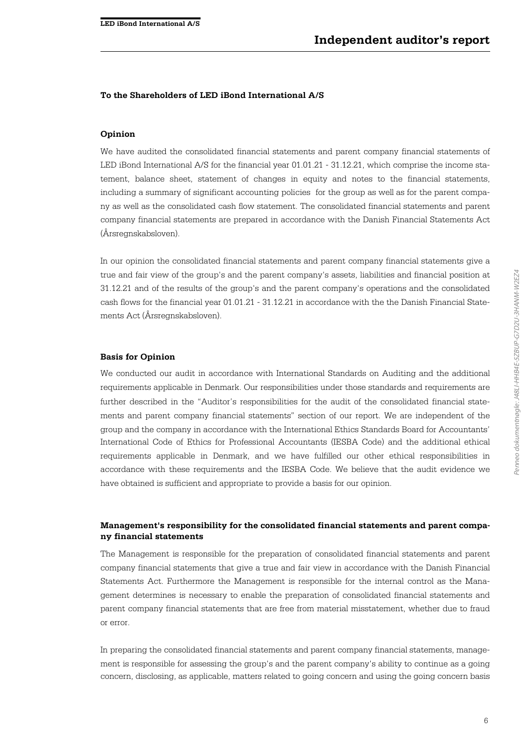#### **To the Shareholders of LED iBond International A/S**

#### **Opinion**

We have audited the consolidated financial statements and parent company financial statements of LED iBond International A/S for the financial year 01.01.21 - 31.12.21, which comprise the income statement, balance sheet, statement of changes in equity and notes to the financial statements, including a summary of significant accounting policies for the group as well as for the parent company as well as the consolidated cash flow statement. The consolidated financial statements and parent company financial statements are prepared in accordance with the Danish Financial Statements Act (Årsregnskabsloven).

In our opinion the consolidated financial statements and parent company financial statements give a true and fair view of the group's and the parent company's assets, liabilities and financial position at 31.12.21 and of the results of the group's and the parent company's operations and the consolidated cash flows for the financial year 01.01.21 - 31.12.21 in accordance with the the Danish Financial Statements Act (Årsregnskabsloven).

#### **Basis for Opinion**

We conducted our audit in accordance with International Standards on Auditing and the additional requirements applicable in Denmark. Our responsibilities under those standards and requirements are further described in the "Auditor's responsibilities for the audit of the consolidated financial statements and parent company financial statements" section of our report. We are independent of the group and the company in accordance with the International Ethics Standards Board for Accountants' International Code of Ethics for Professional Accountants (IESBA Code) and the additional ethical requirements applicable in Denmark, and we have fulfilled our other ethical responsibilities in accordance with these requirements and the IESBA Code. We believe that the audit evidence we have obtained is sufficient and appropriate to provide a basis for our opinion.

### **Management's responsibility for the consolidated financial statements and parent company financial statements**

The Management is responsible for the preparation of consolidated financial statements and parent company financial statements that give a true and fair view in accordance with the Danish Financial Statements Act. Furthermore the Management is responsible for the internal control as the Management determines is necessary to enable the preparation of consolidated financial statements and parent company financial statements that are free from material misstatement, whether due to fraud or error.

In preparing the consolidated financial statements and parent company financial statements, management is responsible for assessing the group's and the parent company's ability to continue as a going concern, disclosing, as applicable, matters related to going concern and using the going concern basis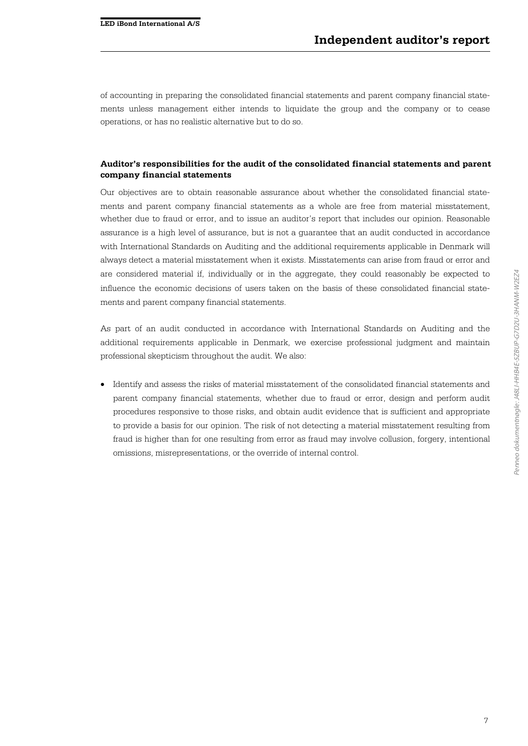of accounting in preparing the consolidated financial statements and parent company financial statements unless management either intends to liquidate the group and the company or to cease operations, or has no realistic alternative but to do so.

# **Auditor's responsibilities for the audit of the consolidated financial statements and parent company financial statements**

Our objectives are to obtain reasonable assurance about whether the consolidated financial statements and parent company financial statements as a whole are free from material misstatement, whether due to fraud or error, and to issue an auditor's report that includes our opinion. Reasonable assurance is a high level of assurance, but is not a guarantee that an audit conducted in accordance with International Standards on Auditing and the additional requirements applicable in Denmark will always detect a material misstatement when it exists. Misstatements can arise from fraud or error and are considered material if, individually or in the aggregate, they could reasonably be expected to influence the economic decisions of users taken on the basis of these consolidated financial statements and parent company financial statements.

As part of an audit conducted in accordance with International Standards on Auditing and the additional requirements applicable in Denmark, we exercise professional judgment and maintain professional skepticism throughout the audit. We also:

 Identify and assess the risks of material misstatement of the consolidated financial statements and parent company financial statements, whether due to fraud or error, design and perform audit procedures responsive to those risks, and obtain audit evidence that is sufficient and appropriate to provide a basis for our opinion. The risk of not detecting a material misstatement resulting from fraud is higher than for one resulting from error as fraud may involve collusion, forgery, intentional omissions, misrepresentations, or the override of internal control.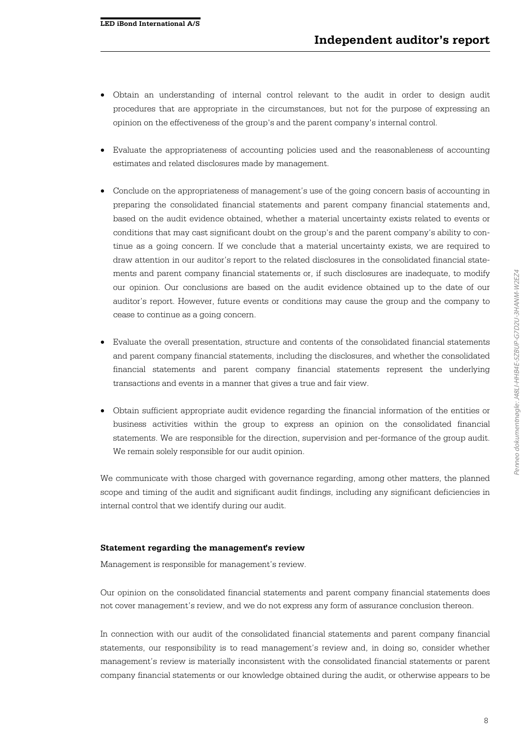- Obtain an understanding of internal control relevant to the audit in order to design audit procedures that are appropriate in the circumstances, but not for the purpose of expressing an opinion on the effectiveness of the group's and the parent company's internal control.
- Evaluate the appropriateness of accounting policies used and the reasonableness of accounting estimates and related disclosures made by management.
- Conclude on the appropriateness of management's use of the going concern basis of accounting in preparing the consolidated financial statements and parent company financial statements and, based on the audit evidence obtained, whether a material uncertainty exists related to events or conditions that may cast significant doubt on the group's and the parent company's ability to continue as a going concern. If we conclude that a material uncertainty exists, we are required to draw attention in our auditor's report to the related disclosures in the consolidated financial statements and parent company financial statements or, if such disclosures are inadequate, to modify our opinion. Our conclusions are based on the audit evidence obtained up to the date of our auditor's report. However, future events or conditions may cause the group and the company to cease to continue as a going concern.
- Evaluate the overall presentation, structure and contents of the consolidated financial statements and parent company financial statements, including the disclosures, and whether the consolidated financial statements and parent company financial statements represent the underlying transactions and events in a manner that gives a true and fair view.
- Obtain sufficient appropriate audit evidence regarding the financial information of the entities or business activities within the group to express an opinion on the consolidated financial statements. We are responsible for the direction, supervision and per-formance of the group audit. We remain solely responsible for our audit opinion.

We communicate with those charged with governance regarding, among other matters, the planned scope and timing of the audit and significant audit findings, including any significant deficiencies in internal control that we identify during our audit.

#### **Statement regarding the management's review**

Management is responsible for management's review.

Our opinion on the consolidated financial statements and parent company financial statements does not cover management's review, and we do not express any form of assurance conclusion thereon.

In connection with our audit of the consolidated financial statements and parent company financial statements, our responsibility is to read management's review and, in doing so, consider whether management's review is materially inconsistent with the consolidated financial statements or parent company financial statements or our knowledge obtained during the audit, or otherwise appears to be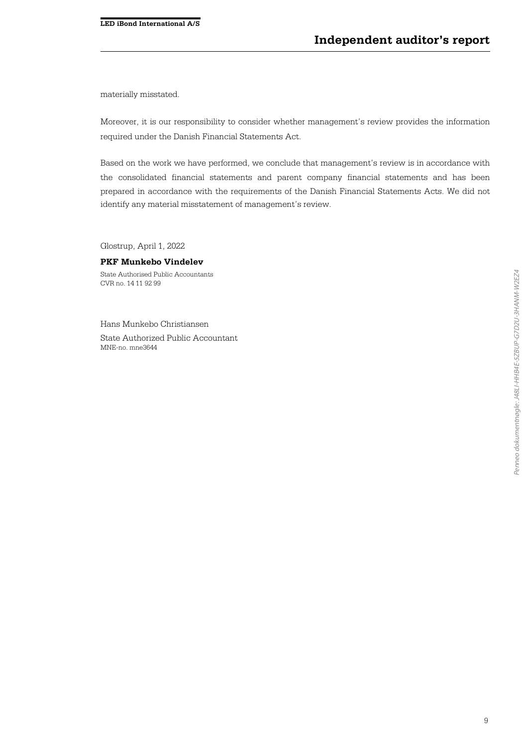materially misstated.

Moreover, it is our responsibility to consider whether management's review provides the information required under the Danish Financial Statements Act.

Based on the work we have performed, we conclude that management's review is in accordance with the consolidated financial statements and parent company financial statements and has been prepared in accordance with the requirements of the Danish Financial Statements Acts. We did not identify any material misstatement of management's review.

Glostrup, April 1, 2022

#### **PKF Munkebo Vindelev**

State Authorised Public Accountants CVR no. 14 11 92 99

Hans Munkebo Christiansen

State Authorized Public Accountant MNE-no. mne3644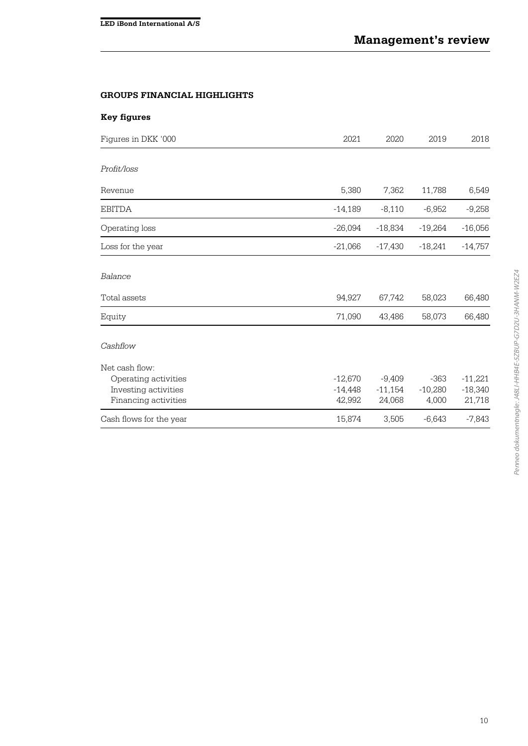# **GROUPS FINANCIAL HIGHLIGHTS**

| <b>Key figures</b>                                                                     |                                  |                                 |                              |                                  |
|----------------------------------------------------------------------------------------|----------------------------------|---------------------------------|------------------------------|----------------------------------|
| Figures in DKK '000                                                                    | 2021                             | 2020                            | 2019                         | 2018                             |
| Profit/loss                                                                            |                                  |                                 |                              |                                  |
| Revenue                                                                                | 5,380                            | 7,362                           | 11,788                       | 6,549                            |
| <b>EBITDA</b>                                                                          | $-14,189$                        | $-8,110$                        | $-6,952$                     | $-9,258$                         |
| Operating loss                                                                         | $-26,094$                        | $-18,834$                       | $-19,264$                    | $-16,056$                        |
| Loss for the year                                                                      | $-21,066$                        | $-17,430$                       | $-18,241$                    | $-14,757$                        |
| Balance                                                                                |                                  |                                 |                              |                                  |
| Total assets                                                                           | 94,927                           | 67,742                          | 58,023                       | 66,480                           |
| Equity                                                                                 | 71,090                           | 43,486                          | 58,073                       | 66,480                           |
| Cashflow                                                                               |                                  |                                 |                              |                                  |
| Net cash flow:<br>Operating activities<br>Investing activities<br>Financing activities | $-12,670$<br>$-14,448$<br>42,992 | $-9,409$<br>$-11,154$<br>24,068 | $-363$<br>$-10,280$<br>4,000 | $-11,221$<br>$-18,340$<br>21,718 |
| Cash flows for the year                                                                | 15,874                           | 3,505                           | $-6,643$                     | $-7,843$                         |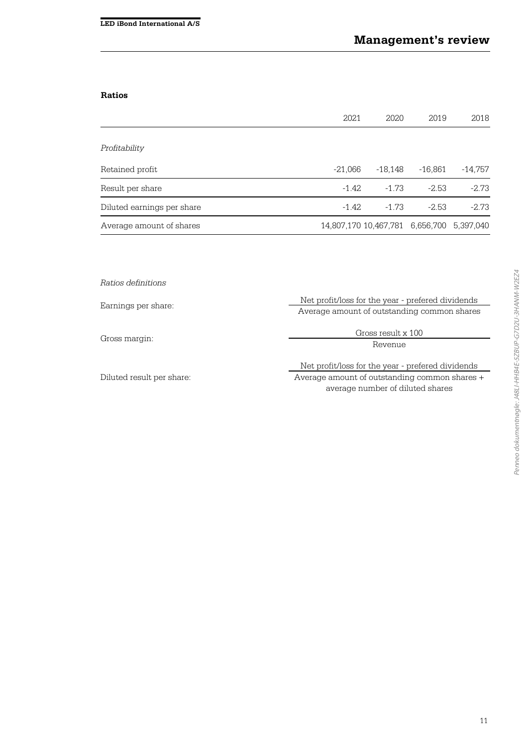# **Ratios**

|                            | 2021                                      | 2020      | 2019      | 2018      |
|----------------------------|-------------------------------------------|-----------|-----------|-----------|
|                            |                                           |           |           |           |
| Profitability              |                                           |           |           |           |
| Retained profit            | $-21,066$                                 | $-18,148$ | $-16,861$ | $-14,757$ |
| Result per share           | $-1.42$                                   | $-1.73$   | $-2.53$   | $-2.73$   |
| Diluted earnings per share | $-1.42$                                   | $-1.73$   | $-2.53$   | $-2.73$   |
| Average amount of shares   | 14,807,170 10,467,781 6,656,700 5,397,040 |           |           |           |

| Ratios definitions        |                                                   |  |  |  |
|---------------------------|---------------------------------------------------|--|--|--|
| Earnings per share:       | Net profit/loss for the year - prefered dividends |  |  |  |
|                           | Average amount of outstanding common shares       |  |  |  |
| Gross margin:             | Gross result x 100                                |  |  |  |
|                           | Revenue                                           |  |  |  |
|                           |                                                   |  |  |  |
|                           | Net profit/loss for the year - prefered dividends |  |  |  |
| Diluted result per share: | Average amount of outstanding common shares +     |  |  |  |
|                           | average number of diluted shares                  |  |  |  |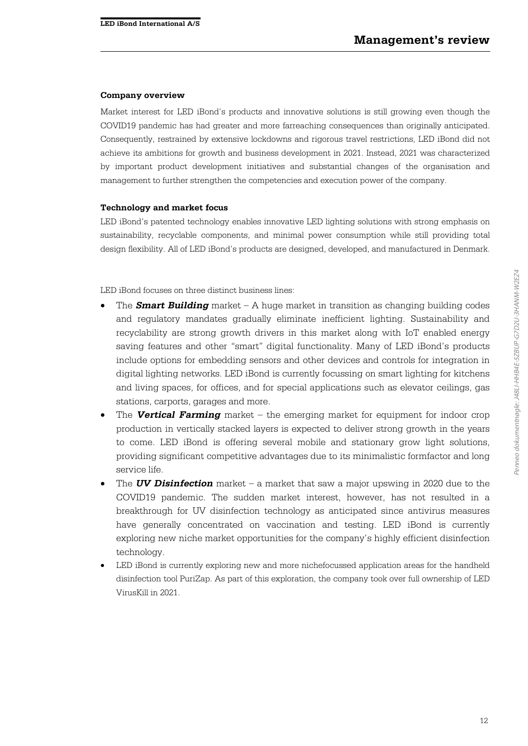#### **Company overview**

Market interest for LED iBond's products and innovative solutions is still growing even though the COVID19 pandemic has had greater and more farreaching consequences than originally anticipated. Consequently, restrained by extensive lockdowns and rigorous travel restrictions, LED iBond did not achieve its ambitions for growth and business development in 2021. Instead, 2021 was characterized by important product development initiatives and substantial changes of the organisation and management to further strengthen the competencies and execution power of the company.

#### **Technology and market focus**

LED iBond's patented technology enables innovative LED lighting solutions with strong emphasis on sustainability, recyclable components, and minimal power consumption while still providing total design flexibility. All of LED iBond's products are designed, developed, and manufactured in Denmark.

LED iBond focuses on three distinct business lines:

- The **Smart Building** market A huge market in transition as changing building codes and regulatory mandates gradually eliminate inefficient lighting. Sustainability and recyclability are strong growth drivers in this market along with IoT enabled energy saving features and other "smart" digital functionality. Many of LED iBond's products include options for embedding sensors and other devices and controls for integration in digital lighting networks. LED iBond is currently focussing on smart lighting for kitchens and living spaces, for offices, and for special applications such as elevator ceilings, gas stations, carports, garages and more.
- The **Vertical Farming** market the emerging market for equipment for indoor crop production in vertically stacked layers is expected to deliver strong growth in the years to come. LED iBond is offering several mobile and stationary grow light solutions, providing significant competitive advantages due to its minimalistic formfactor and long service life.
- The **UV Disinfection** market a market that saw a major upswing in 2020 due to the COVID19 pandemic. The sudden market interest, however, has not resulted in a breakthrough for UV disinfection technology as anticipated since antivirus measures have generally concentrated on vaccination and testing. LED iBond is currently exploring new niche market opportunities for the company's highly efficient disinfection technology.
- LED iBond is currently exploring new and more nichefocussed application areas for the handheld disinfection tool PuriZap. As part of this exploration, the company took over full ownership of LED VirusKill in 2021.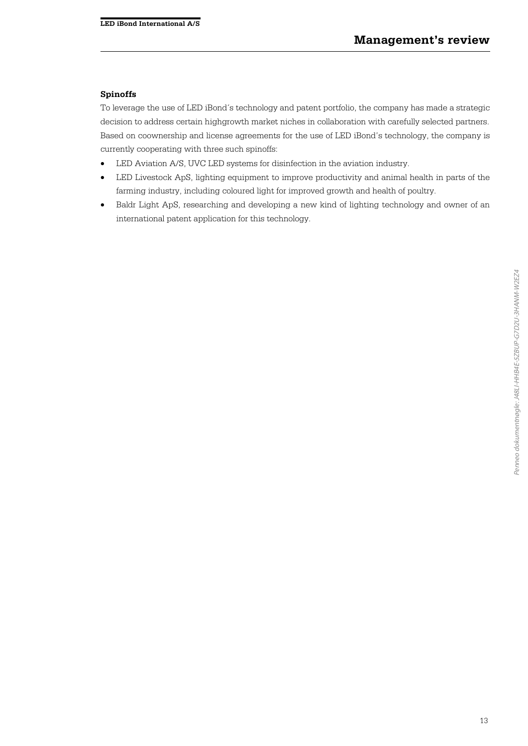#### **Spinoffs**

To leverage the use of LED iBond´s technology and patent portfolio, the company has made a strategic decision to address certain highgrowth market niches in collaboration with carefully selected partners. Based on coownership and license agreements for the use of LED iBond's technology, the company is currently cooperating with three such spinoffs:

- LED Aviation A/S, UVC LED systems for disinfection in the aviation industry.
- LED Livestock ApS, lighting equipment to improve productivity and animal health in parts of the farming industry, including coloured light for improved growth and health of poultry.
- Baldr Light ApS, researching and developing a new kind of lighting technology and owner of an international patent application for this technology.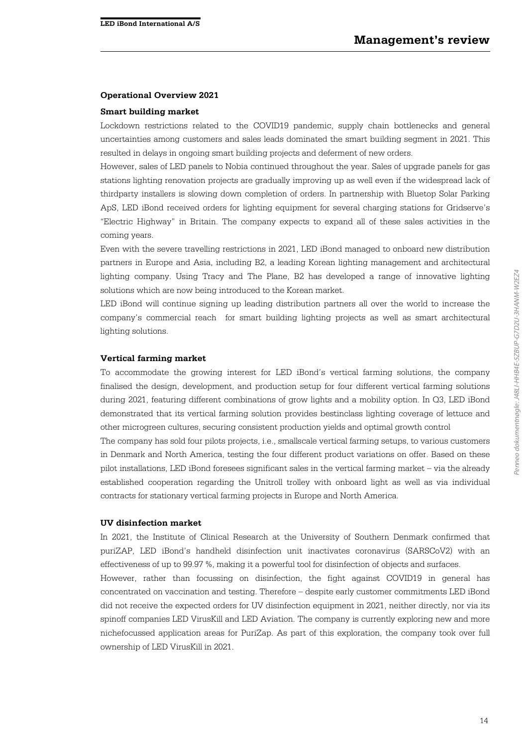#### **Operational Overview 2021**

#### **Smart building market**

Lockdown restrictions related to the COVID19 pandemic, supply chain bottlenecks and general uncertainties among customers and sales leads dominated the smart building segment in 2021. This resulted in delays in ongoing smart building projects and deferment of new orders.

However, sales of LED panels to Nobia continued throughout the year. Sales of upgrade panels for gas stations lighting renovation projects are gradually improving up as well even if the widespread lack of thirdparty installers is slowing down completion of orders. In partnership with Bluetop Solar Parking ApS, LED iBond received orders for lighting equipment for several charging stations for Gridserve's "Electric Highway" in Britain. The company expects to expand all of these sales activities in the coming years.

Even with the severe travelling restrictions in 2021, LED iBond managed to onboard new distribution partners in Europe and Asia, including B2, a leading Korean lighting management and architectural lighting company. Using Tracy and The Plane, B2 has developed a range of innovative lighting solutions which are now being introduced to the Korean market.

LED iBond will continue signing up leading distribution partners all over the world to increase the company's commercial reach for smart building lighting projects as well as smart architectural lighting solutions.

#### **Vertical farming market**

To accommodate the growing interest for LED iBond's vertical farming solutions, the company finalised the design, development, and production setup for four different vertical farming solutions during 2021, featuring different combinations of grow lights and a mobility option. In Q3, LED iBond demonstrated that its vertical farming solution provides bestinclass lighting coverage of lettuce and other microgreen cultures, securing consistent production yields and optimal growth control

The company has sold four pilots projects, i.e., smallscale vertical farming setups, to various customers in Denmark and North America, testing the four different product variations on offer. Based on these pilot installations, LED iBond foresees significant sales in the vertical farming market – via the already established cooperation regarding the Unitroll trolley with onboard light as well as via individual contracts for stationary vertical farming projects in Europe and North America.

#### **UV disinfection market**

In 2021, the Institute of Clinical Research at the University of Southern Denmark confirmed that puriZAP, LED iBond's handheld disinfection unit inactivates coronavirus (SARSCoV2) with an effectiveness of up to 99.97 %, making it a powerful tool for disinfection of objects and surfaces.

However, rather than focussing on disinfection, the fight against COVID19 in general has concentrated on vaccination and testing. Therefore – despite early customer commitments LED iBond did not receive the expected orders for UV disinfection equipment in 2021, neither directly, nor via its spinoff companies LED VirusKill and LED Aviation. The company is currently exploring new and more nichefocussed application areas for PuriZap. As part of this exploration, the company took over full ownership of LED VirusKill in 2021.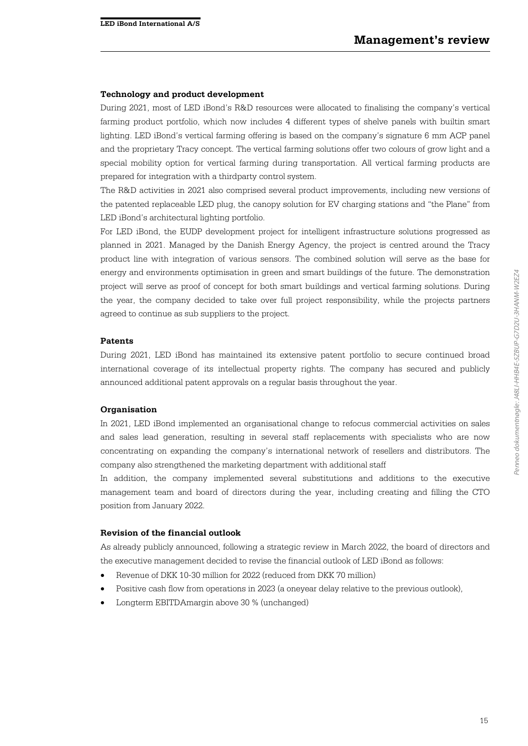#### **Technology and product development**

During 2021, most of LED iBond's R&D resources were allocated to finalising the company's vertical farming product portfolio, which now includes 4 different types of shelve panels with builtin smart lighting. LED iBond's vertical farming offering is based on the company's signature 6 mm ACP panel and the proprietary Tracy concept. The vertical farming solutions offer two colours of grow light and a special mobility option for vertical farming during transportation. All vertical farming products are prepared for integration with a thirdparty control system.

The R&D activities in 2021 also comprised several product improvements, including new versions of the patented replaceable LED plug, the canopy solution for EV charging stations and "the Plane" from LED iBond's architectural lighting portfolio.

For LED iBond, the EUDP development project for intelligent infrastructure solutions progressed as planned in 2021. Managed by the Danish Energy Agency, the project is centred around the Tracy product line with integration of various sensors. The combined solution will serve as the base for energy and environments optimisation in green and smart buildings of the future. The demonstration project will serve as proof of concept for both smart buildings and vertical farming solutions. During the year, the company decided to take over full project responsibility, while the projects partners agreed to continue as sub suppliers to the project.

#### **Patents**

During 2021, LED iBond has maintained its extensive patent portfolio to secure continued broad international coverage of its intellectual property rights. The company has secured and publicly announced additional patent approvals on a regular basis throughout the year.

#### **Organisation**

In 2021, LED iBond implemented an organisational change to refocus commercial activities on sales and sales lead generation, resulting in several staff replacements with specialists who are now concentrating on expanding the company's international network of resellers and distributors. The company also strengthened the marketing department with additional staff

In addition, the company implemented several substitutions and additions to the executive management team and board of directors during the year, including creating and filling the CTO position from January 2022.

#### **Revision of the financial outlook**

As already publicly announced, following a strategic review in March 2022, the board of directors and the executive management decided to revise the financial outlook of LED iBond as follows:

- Revenue of DKK 10-30 million for 2022 (reduced from DKK 70 million)
- Positive cash flow from operations in 2023 (a oneyear delay relative to the previous outlook),
- Longterm EBITDAmargin above 30 % (unchanged)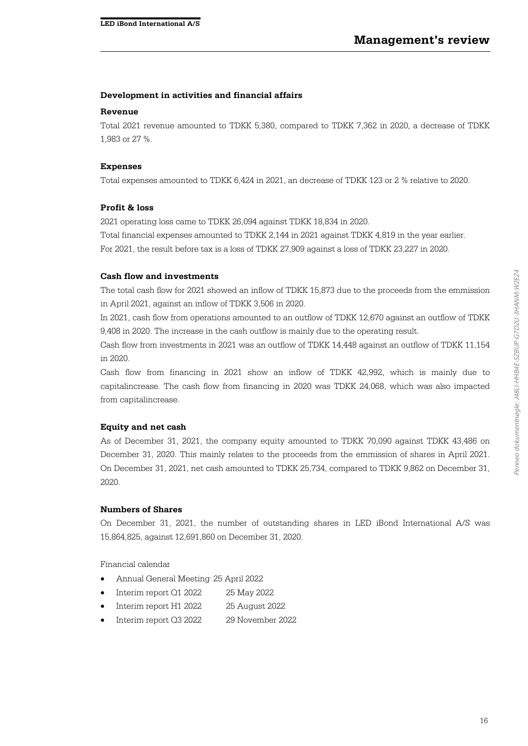#### **Development in activities and financial affairs**

#### **Revenue**

Total 2021 revenue amounted to TDKK 5,380, compared to TDKK 7,362 in 2020, a decrease of TDKK 1,983 or 27 %.

#### **Expenses**

Total expenses amounted to TDKK 6,424 in 2021, an decrease of TDKK 123 or 2 % relative to 2020.

#### **Profit & loss**

2021 operating loss came to TDKK 26,094 against TDKK 18,834 in 2020.

Total financial expenses amounted to TDKK 2,144 in 2021 against TDKK 4,819 in the year earlier.

For 2021, the result before tax is a loss of TDKK 27,909 against a loss of TDKK 23,227 in 2020.

#### **Cash flow and investments**

The total cash flow for 2021 showed an inflow of TDKK 15,873 due to the proceeds from the emmission in April 2021, against an inflow of TDKK 3,506 in 2020.

In 2021, cash flow from operations amounted to an outflow of TDKK 12,670 against an outflow of TDKK 9,408 in 2020. The increase in the cash outflow is mainly due to the operating result.

Cash flow from investments in 2021 was an outflow of TDKK 14,448 against an outflow of TDKK 11,154 in 2020.

Cash flow from financing in 2021 show an inflow of TDKK 42,992, which is mainly due to capitalincrease. The cash flow from financing in 2020 was TDKK 24,068, which was also impacted from capitalincrease.

#### **Equity and net cash**

As of December 31, 2021, the company equity amounted to TDKK 70,090 against TDKK 43,486 on December 31, 2020. This mainly relates to the proceeds from the emmission of shares in April 2021. On December 31, 2021, net cash amounted to TDKK 25,734, compared to TDKK 9,862 on December 31, 2020.

#### **Numbers of Shares**

On December 31, 2021, the number of outstanding shares in LED iBond International A/S was 15,864,825, against 12,691,860 on December 31, 2020.

Financial calendar

- Annual General Meeting 25 April 2022
- Interim report Q1 2022 25 May 2022
- Interim report H1 2022 25 August 2022
- Interim report Q3 2022 29 November 2022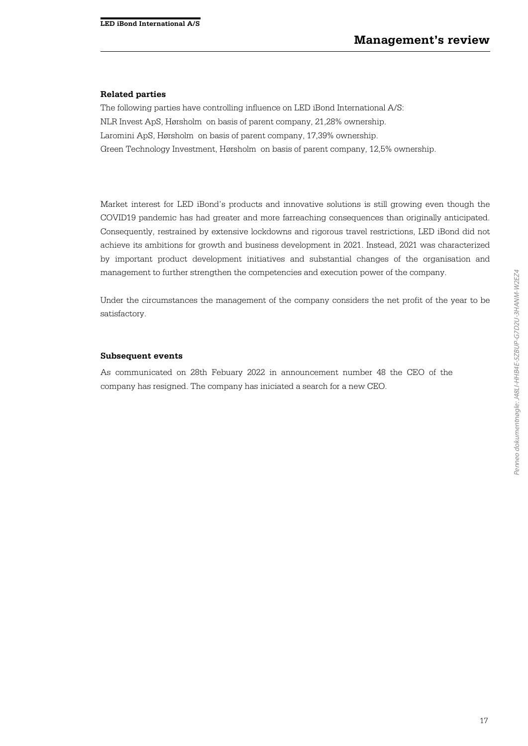#### **Related parties**

The following parties have controlling influence on LED iBond International A/S: NLR Invest ApS, Hørsholm on basis of parent company, 21,28% ownership. Laromini ApS, Hørsholm on basis of parent company, 17,39% ownership. Green Technology Investment, Hørsholm on basis of parent company, 12,5% ownership.

Market interest for LED iBond's products and innovative solutions is still growing even though the COVID19 pandemic has had greater and more farreaching consequences than originally anticipated. Consequently, restrained by extensive lockdowns and rigorous travel restrictions, LED iBond did not achieve its ambitions for growth and business development in 2021. Instead, 2021 was characterized by important product development initiatives and substantial changes of the organisation and management to further strengthen the competencies and execution power of the company.

Under the circumstances the management of the company considers the net profit of the year to be satisfactory.

#### **Subsequent events**

As communicated on 28th Febuary 2022 in announcement number 48 the CEO of the company has resigned. The company has iniciated a search for a new CEO.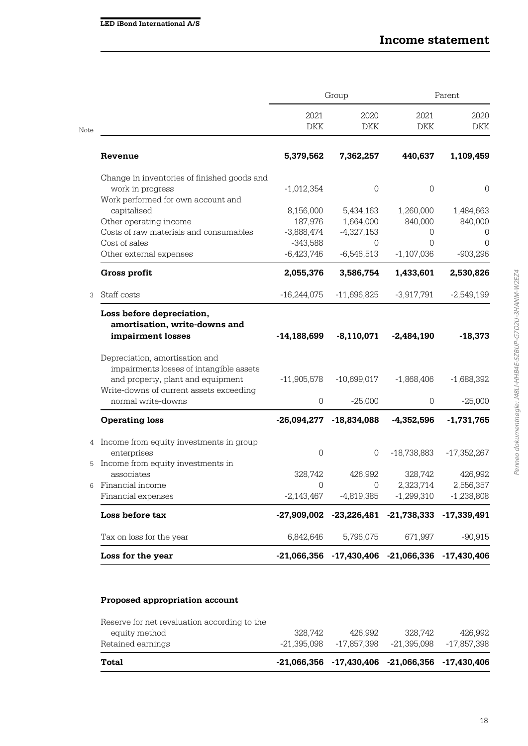|      |                                                                                                                                                           | Group               |               | Parent                      |               |  |
|------|-----------------------------------------------------------------------------------------------------------------------------------------------------------|---------------------|---------------|-----------------------------|---------------|--|
| Note |                                                                                                                                                           | 2021<br><b>DKK</b>  | 2020<br>DKK   | 2021<br>DKK                 | 2020<br>DKK   |  |
|      | Revenue                                                                                                                                                   | 5,379,562           | 7,362,257     | 440,637                     | 1,109,459     |  |
|      | Change in inventories of finished goods and<br>work in progress                                                                                           | $-1,012,354$        | 0             | 0                           | 0             |  |
|      | Work performed for own account and                                                                                                                        |                     |               |                             |               |  |
|      | capitalised                                                                                                                                               | 8,156,000           | 5,434,163     | 1,260,000                   | 1,484,663     |  |
|      | Other operating income                                                                                                                                    | 187,976             | 1,664,000     | 840,000                     | 840,000       |  |
|      | Costs of raw materials and consumables                                                                                                                    | $-3,888,474$        | $-4,327,153$  | 0                           | 0             |  |
|      | Cost of sales                                                                                                                                             | $-343,588$          | $\Omega$      | 0                           | 0             |  |
|      | Other external expenses                                                                                                                                   | $-6,423,746$        | $-6,546,513$  | $-1,107,036$                | $-903,296$    |  |
|      | Gross profit                                                                                                                                              | 2,055,376           | 3,586,754     | 1,433,601                   | 2,530,826     |  |
| 3    | Staff costs                                                                                                                                               | $-16,244,075$       | $-11,696,825$ | $-3,917,791$                | $-2,549,199$  |  |
|      | Loss before depreciation,<br>amortisation, write-downs and<br>impairment losses                                                                           | $-14,188,699$       | $-8,110,071$  | $-2,484,190$                | $-18,373$     |  |
|      | Depreciation, amortisation and<br>impairments losses of intangible assets<br>and property, plant and equipment<br>Write-downs of current assets exceeding | $-11,905,578$       | $-10,699,017$ | $-1,868,406$                | $-1,688,392$  |  |
|      | normal write-downs                                                                                                                                        | $\mathbf 0$         | $-25,000$     | 0                           | $-25,000$     |  |
|      | <b>Operating loss</b>                                                                                                                                     | $-26,094,277$       | $-18,834,088$ | $-4,352,596$                | $-1,731,765$  |  |
| 4    | Income from equity investments in group                                                                                                                   |                     |               |                             |               |  |
|      | enterprises                                                                                                                                               | $\mathsf{O}\xspace$ | $\mathbf 0$   | $-18,738,883$               | $-17,352,267$ |  |
| 5    | Income from equity investments in                                                                                                                         |                     |               |                             |               |  |
|      | associates                                                                                                                                                | 328,742             | 426,992       | 328,742                     | 426,992       |  |
| 6    | Financial income                                                                                                                                          | 0                   | 0             | 2,323,714                   | 2,556,357     |  |
|      | Financial expenses                                                                                                                                        | $-2,143,467$        | $-4,819,385$  | $-1,299,310$                | $-1,238,808$  |  |
|      | Loss before tax                                                                                                                                           | -27,909,002         |               | $-23,226,481$ $-21,738,333$ | $-17,339,491$ |  |
|      | Tax on loss for the year                                                                                                                                  | 6,842,646           | 5,796,075     | 671,997                     | $-90,915$     |  |
|      | Loss for the year                                                                                                                                         | $-21,066,356$       | $-17,430,406$ | $-21,066,336$               | $-17,430,406$ |  |

# **Proposed appropriation account**

| Total                                        |         | $-21,066,356$ $-17,430,406$ $-21,066,356$ $-17,430,406$ |         |         |
|----------------------------------------------|---------|---------------------------------------------------------|---------|---------|
| Retained earnings                            |         | $-21.395.098$ $-17.857.398$ $-21.395.098$ $-17.857.398$ |         |         |
| equity method                                | 328.742 | 426.992                                                 | 328.742 | 426.992 |
| Reserve for net revaluation according to the |         |                                                         |         |         |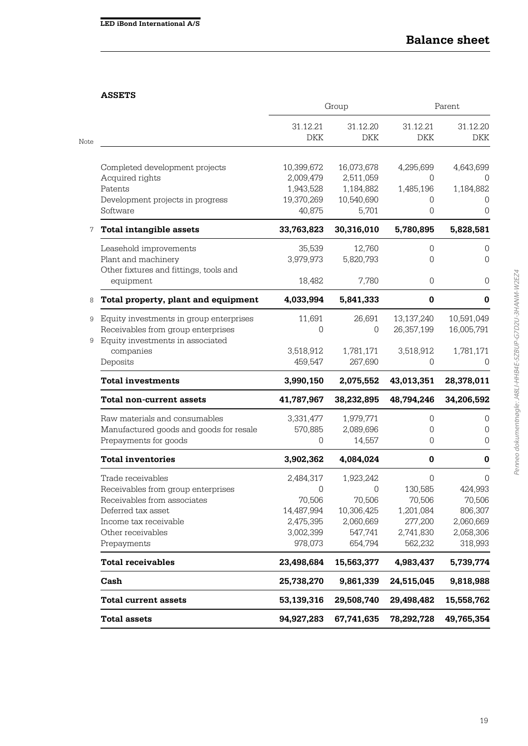# **ASSETS**

| <b>Total assets</b>                                                                |  | 94,927,283              | 67,741,635              | 78,292,728               | 49,765,354               |  |
|------------------------------------------------------------------------------------|--|-------------------------|-------------------------|--------------------------|--------------------------|--|
| <b>Total current assets</b>                                                        |  | 53,139,316              | 29,508,740              | 29,498,482               | 15,558,762               |  |
| Cash                                                                               |  | 25,738,270              | 9,861,339               | 24,515,045               | 9,818,988                |  |
| <b>Total receivables</b>                                                           |  | 23,498,684              | 15,563,377              | 4,983,437                | 5,739,774                |  |
| Prepayments                                                                        |  | 978,073                 | 654,794                 | 562,232                  | 318,993                  |  |
| Other receivables                                                                  |  | 3,002,399               | 547,741                 | 2,741,830                | 2,058,306                |  |
| Income tax receivable                                                              |  | 2,475,395               | 2,060,669               | 277,200                  | 2,060,669                |  |
| Deferred tax asset                                                                 |  | 14,487,994              | 10,306,425              | 1,201,084                | 806,307                  |  |
| Receivables from group enterprises<br>Receivables from associates                  |  | O<br>70,506             | 0<br>70,506             | 130,585<br>70,506        | 424,993<br>70,506        |  |
| Trade receivables                                                                  |  | 2,484,317               | 1,923,242               | $\Omega$                 | $\Omega$                 |  |
| <b>Total inventories</b>                                                           |  | 3,902,362               | 4,084,024               | 0                        | $\pmb{0}$                |  |
| Prepayments for goods                                                              |  | $\Omega$                | 14,557                  | 0                        | 0                        |  |
| Raw materials and consumables<br>Manufactured goods and goods for resale           |  | 3,331,477<br>570,885    | 1,979,771<br>2,089,696  | 0<br>0                   | 0<br>0                   |  |
| <b>Total non-current assets</b>                                                    |  | 41,787,967              | 38,232,895              | 48,794,246               | 34,206,592               |  |
| <b>Total investments</b>                                                           |  | 3,990,150               | 2,075,552               | 43,013,351               | 28,378,011               |  |
| companies<br>Deposits                                                              |  | 3,518,912<br>459,547    | 1,781,171<br>267,690    | 3,518,912<br>0           | 1,781,171<br>O           |  |
| Equity investments in associated<br>9                                              |  |                         |                         |                          |                          |  |
| Equity investments in group enterprises<br>9<br>Receivables from group enterprises |  | 11,691<br>$\Omega$      | 26,691<br>0             | 13,137,240<br>26,357,199 | 10,591,049<br>16,005,791 |  |
| Total property, plant and equipment                                                |  | 4,033,994               | 5,841,333               | $\bf{0}$                 | 0                        |  |
| equipment<br>8                                                                     |  | 18,482                  | 7,780                   | $\mathsf{O}\xspace$      | 0                        |  |
| Other fixtures and fittings, tools and                                             |  |                         |                         |                          |                          |  |
| Leasehold improvements<br>Plant and machinery                                      |  | 35,539<br>3,979,973     | 12,760<br>5,820,793     | 0<br>0                   | 0<br>0                   |  |
| <b>Total intangible assets</b>                                                     |  | 33,763,823              | 30,316,010              | 5,780,895                | 5,828,581                |  |
| Software                                                                           |  | 40,875                  | 5,701                   | 0                        | 0                        |  |
| Patents<br>Development projects in progress                                        |  | 1,943,528<br>19,370,269 | 1,184,882<br>10,540,690 | 1,485,196<br>0           | 1,184,882<br>0           |  |
| Acquired rights                                                                    |  | 2,009,479               | 2,511,059               | 0                        | 0                        |  |
| Completed development projects                                                     |  | 10,399,672              | 16,073,678              | 4,295,699                | 4,643,699                |  |
|                                                                                    |  | <b>DKK</b>              | DKK                     | DKK                      | <b>DKK</b>               |  |
|                                                                                    |  | 31.12.21                | 31.12.20                | 31.12.21                 | 31.12.20                 |  |
|                                                                                    |  | Group                   |                         | Parent                   |                          |  |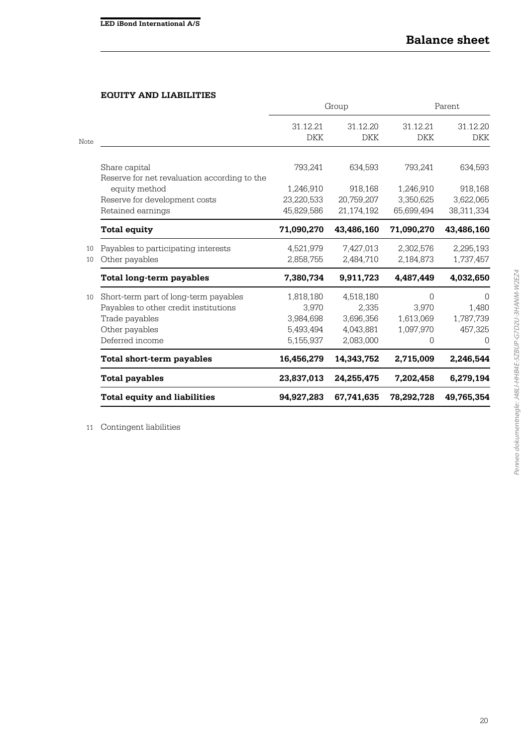# **EQUITY AND LIABILITIES**

|      |                                              |                        | Group                  | Parent                 |                        |  |
|------|----------------------------------------------|------------------------|------------------------|------------------------|------------------------|--|
| Note |                                              | 31.12.21<br><b>DKK</b> | 31.12.20<br><b>DKK</b> | 31.12.21<br><b>DKK</b> | 31.12.20<br><b>DKK</b> |  |
|      |                                              |                        |                        |                        |                        |  |
|      | Share capital                                | 793,241                | 634,593                | 793,241                | 634,593                |  |
|      | Reserve for net revaluation according to the |                        |                        |                        |                        |  |
|      | equity method                                | 1,246,910              | 918,168                | 1,246,910              | 918,168                |  |
|      | Reserve for development costs                | 23,220,533             | 20,759,207             | 3,350,625              | 3,622,065              |  |
|      | Retained earnings                            | 45,829,586             | 21,174,192             | 65,699,494             | 38,311,334             |  |
|      | <b>Total equity</b>                          | 71,090,270             | 43,486,160             | 71,090,270             | 43,486,160             |  |
| 10   | Payables to participating interests          | 4,521,979              | 7,427,013              | 2,302,576              | 2,295,193              |  |
| 10   | Other payables                               | 2,858,755              | 2,484,710              | 2,184,873              | 1,737,457              |  |
|      | Total long-term payables                     | 7,380,734              | 9,911,723              | 4,487,449              | 4,032,650              |  |
| 10   | Short-term part of long-term payables        | 1,818,180              | 4,518,180              | $\Omega$               | $\Omega$               |  |
|      | Payables to other credit institutions        | 3,970                  | 2,335                  | 3,970                  | 1,480                  |  |
|      | Trade payables                               | 3,984,698              | 3,696,356              | 1,613,069              | 1,787,739              |  |
|      | Other payables                               | 5,493,494              | 4,043,881              | 1,097,970              | 457,325                |  |
|      | Deferred income                              | 5,155,937              | 2,083,000              | 0                      | 0                      |  |
|      | Total short-term payables                    | 16,456,279             | 14,343,752             | 2,715,009              | 2,246,544              |  |
|      | <b>Total payables</b>                        | 23,837,013             | 24,255,475             | 7,202,458              | 6,279,194              |  |
|      | <b>Total equity and liabilities</b>          | 94,927,283             | 67,741,635             | 78,292,728             | 49,765,354             |  |

11 Contingent liabilities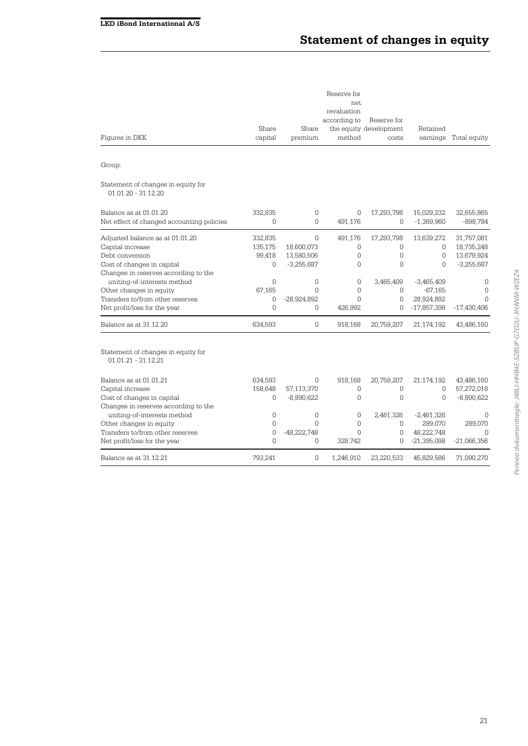| Figures in DKK                                                                                                                                                     | Share<br>capital                  | Share<br>premium                              | Reserve for<br>net.<br>revaluation<br>according to<br>method | Reserve for<br>the equity development<br>costs         | Retained<br>earnings                                     | Total equity                                           |
|--------------------------------------------------------------------------------------------------------------------------------------------------------------------|-----------------------------------|-----------------------------------------------|--------------------------------------------------------------|--------------------------------------------------------|----------------------------------------------------------|--------------------------------------------------------|
| Group:                                                                                                                                                             |                                   |                                               |                                                              |                                                        |                                                          |                                                        |
| Statement of changes in equity for<br>01.01.20 - 31.12.20                                                                                                          |                                   |                                               |                                                              |                                                        |                                                          |                                                        |
| Balance as at 01.01.20<br>Net effect of changed accounting policies                                                                                                | 332.835<br>0                      | 0<br>$\Omega$                                 | $\mathbf 0$<br>491,176                                       | 17,293,798<br>$\Omega$                                 | 15,029,232<br>$-1,389,960$                               | 32,655,865<br>-898,784                                 |
| Adjusted balance as at 01.01.20<br>Capital increase<br>Debt conversion<br>Cost of changes in capital                                                               | 332,835<br>135,175<br>99,418<br>0 | 0<br>18,600,073<br>13,580,506<br>$-3,255,687$ | 491,176<br>0<br>0<br>$\Omega$                                | 17,293,798<br>0<br>0<br>$\Omega$                       | 13,639,272<br>0<br>0<br>$\Omega$                         | 31,757,081<br>18,735,248<br>13,679,924<br>$-3,255,687$ |
| Changes in reserves according to the<br>uniting-of-interests method<br>Other changes in equity<br>Transfers to/from other reserves<br>Net profit/loss for the year | 0<br>67,165<br>0<br>$\Omega$      | 0<br>$\Omega$<br>$-28,924,892$<br>$\Omega$    | 0<br>$\Omega$<br>$\Omega$<br>426,992                         | 3,465,409<br>$\mathbf 0$<br>$\overline{0}$<br>$\Omega$ | $-3,465,409$<br>$-67,165$<br>28,924,892<br>$-17,857,398$ | 0<br>$\mathbf 0$<br>$\Omega$<br>$-17,430,406$          |
| Balance as at 31.12.20                                                                                                                                             | 634,593                           | 0                                             | 918,168                                                      | 20,759,207                                             | 21,174,192                                               | 43,486,160                                             |
| Statement of changes in equity for<br>$01.01.21 - 31.12.21$                                                                                                        |                                   |                                               |                                                              |                                                        |                                                          |                                                        |
| Balance as at 01.01.21<br>Capital increase<br>Cost of changes in capital<br>Changes in reserves according to the                                                   | 634,593<br>158,648<br>0           | 0<br>57,113,370<br>$-8,890,622$               | 918,168<br>0<br>0                                            | 20,759,207<br>$\mathbf 0$<br>$\overline{0}$            | 21,174,192<br>$\Omega$<br>$\Omega$                       | 43,486,160<br>57,272,018<br>$-8,890,622$               |
| uniting-of-interests method<br>Other changes in equity<br>Transfers to/from other reserves<br>Net profit/loss for the year                                         | 0<br>0<br>0<br>0                  | 0<br>$\Omega$<br>$-48,222,748$<br>$\Omega$    | 0<br>0<br>$\Omega$<br>328,742                                | 2,461,326<br>0<br>$\Omega$<br>$\Omega$                 | $-2,461,326$<br>289,070<br>48,222,748<br>$-21,395,098$   | $\Omega$<br>289,070<br>$\Omega$<br>$-21,066,356$       |
| Balance as at 31.12.21                                                                                                                                             | 793,241                           | 0                                             | 1,246,910                                                    | 23,220,533                                             | 45,829,586                                               | 71,090,270                                             |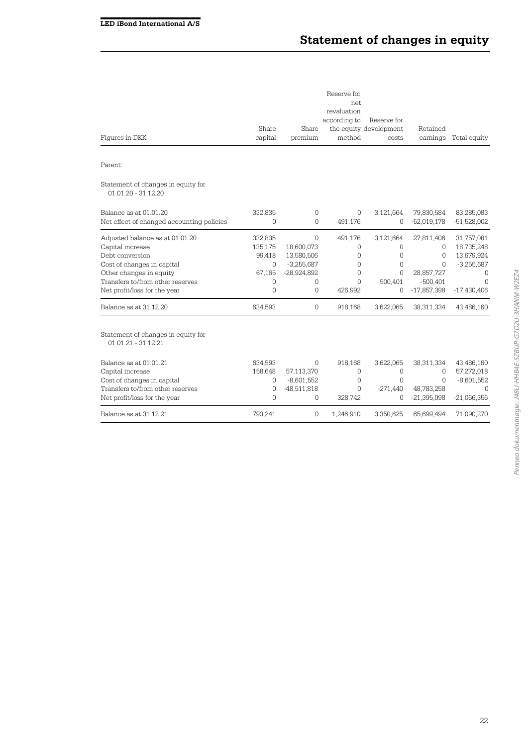# **Statement of changes in equity**

| Figures in DKK                                                                                                                                                                                      | Share<br>capital                                             | Share<br>premium                                                                           | Reserve for<br>net.<br>revaluation<br>according to<br>method               | Reserve for<br>the equity development<br>costs   | Retained<br>earnings                                                                 | Total equity                                                                                    |
|-----------------------------------------------------------------------------------------------------------------------------------------------------------------------------------------------------|--------------------------------------------------------------|--------------------------------------------------------------------------------------------|----------------------------------------------------------------------------|--------------------------------------------------|--------------------------------------------------------------------------------------|-------------------------------------------------------------------------------------------------|
| Parent:                                                                                                                                                                                             |                                                              |                                                                                            |                                                                            |                                                  |                                                                                      |                                                                                                 |
| Statement of changes in equity for<br>01.01.20 - 31.12.20                                                                                                                                           |                                                              |                                                                                            |                                                                            |                                                  |                                                                                      |                                                                                                 |
| Balance as at 01.01.20<br>Net effect of changed accounting policies                                                                                                                                 | 332,835<br>0                                                 | 0<br>$\Omega$                                                                              | 0<br>491,176                                                               | 3,121,664<br>0                                   | 79,830,584<br>$-52,019,178$                                                          | 83,285,083<br>$-51,528,002$                                                                     |
| Adjusted balance as at 01.01.20<br>Capital increase<br>Debt conversion<br>Cost of changes in capital<br>Other changes in equity<br>Transfers to/from other reserves<br>Net profit/loss for the year | 332,835<br>135,175<br>99,418<br>$\Omega$<br>67,165<br>0<br>0 | $\mathbf{0}$<br>18,600,073<br>13,580,506<br>$-3,255,687$<br>$-28,924,892$<br>$\Omega$<br>0 | 491,176<br>0<br>$\mathbf 0$<br>$\Omega$<br>$\Omega$<br>$\Omega$<br>426,992 | 3,121,664<br>0<br>0<br>0<br>0<br>500,401<br>0    | 27,811,406<br>$\Omega$<br>0<br>$\Omega$<br>28,857,727<br>$-500,401$<br>$-17,857,398$ | 31,757,081<br>18,735,248<br>13,679,924<br>$-3,255,687$<br>$\Omega$<br>$\Omega$<br>$-17,430,406$ |
| Balance as at 31,12,20                                                                                                                                                                              | 634,593                                                      | 0                                                                                          | 918,168                                                                    | 3,622,065                                        | 38,311,334                                                                           | 43,486,160                                                                                      |
| Statement of changes in equity for<br>$01.01.21 - 31.12.21$                                                                                                                                         |                                                              |                                                                                            |                                                                            |                                                  |                                                                                      |                                                                                                 |
| Balance as at 01.01.21<br>Capital increase<br>Cost of changes in capital<br>Transfers to/from other reserves<br>Net profit/loss for the year                                                        | 634,593<br>158.648<br>0<br>0<br>0                            | $\Omega$<br>57,113,370<br>$-8,601,552$<br>$-48,511,818$<br>0                               | 918.168<br>$\Omega$<br>$\Omega$<br>$\Omega$<br>328,742                     | 3,622,065<br>$\mathbf 0$<br>0<br>$-271,440$<br>0 | 38,311,334<br>$\Omega$<br>$\Omega$<br>48,783,258<br>$-21,395,098$                    | 43,486,160<br>57,272,018<br>$-8,601,552$<br>$\Omega$<br>$-21,066,356$                           |
| Balance as at 31.12.21                                                                                                                                                                              | 793,241                                                      | 0                                                                                          | 1,246,910                                                                  | 3,350,625                                        | 65,699,494                                                                           | 71,090,270                                                                                      |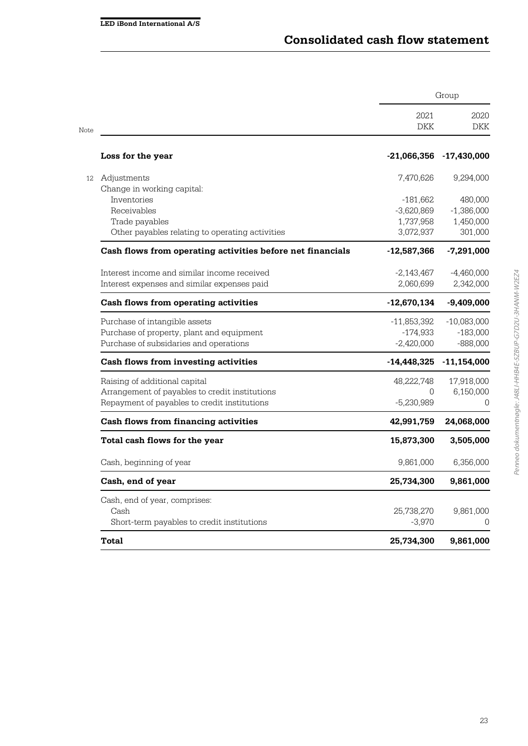|                                                |                                                            | Group              |               |  |
|------------------------------------------------|------------------------------------------------------------|--------------------|---------------|--|
| Note                                           |                                                            | 2021<br><b>DKK</b> | 2020<br>DKK   |  |
| Loss for the year                              |                                                            | $-21,066,356$      | $-17,430,000$ |  |
| 12 Adjustments                                 |                                                            | 7,470,626          | 9,294,000     |  |
| Change in working capital:                     |                                                            |                    |               |  |
| Inventories                                    |                                                            | -181,662           | 480,000       |  |
| Receivables                                    |                                                            | $-3,620,869$       | $-1,386,000$  |  |
| Trade payables                                 |                                                            | 1,737,958          | 1,450,000     |  |
|                                                | Other payables relating to operating activities            | 3,072,937          | 301,000       |  |
|                                                | Cash flows from operating activities before net financials | $-12,587,366$      | $-7,291,000$  |  |
| Interest income and similar income received    |                                                            | $-2,143,467$       | $-4,460,000$  |  |
| Interest expenses and similar expenses paid    |                                                            | 2,060,699          | 2,342,000     |  |
| Cash flows from operating activities           |                                                            | $-12,670,134$      | $-9,409,000$  |  |
| Purchase of intangible assets                  |                                                            | -11,853,392        | -10,083,000   |  |
| Purchase of property, plant and equipment      |                                                            | -174,933           | $-183,000$    |  |
| Purchase of subsidaries and operations         |                                                            | $-2,420,000$       | $-888,000$    |  |
| Cash flows from investing activities           |                                                            | $-14,448,325$      | $-11,154,000$ |  |
| Raising of additional capital                  |                                                            | 48,222,748         | 17,918,000    |  |
| Arrangement of payables to credit institutions |                                                            | $\Omega$           | 6,150,000     |  |
| Repayment of payables to credit institutions   |                                                            | $-5,230,989$       | 0             |  |
| <b>Cash flows from financing activities</b>    |                                                            | 42,991,759         | 24,068,000    |  |
| Total cash flows for the year                  |                                                            | 15,873,300         | 3,505,000     |  |
| Cash, beginning of year                        |                                                            | 9,861,000          | 6,356,000     |  |
| Cash, end of year                              |                                                            | 25,734,300         | 9,861,000     |  |
| Cash, end of year, comprises:                  |                                                            |                    |               |  |
| Cash                                           |                                                            | 25,738,270         | 9,861,000     |  |
| Short-term payables to credit institutions     |                                                            | $-3,970$           | 0             |  |
| Total                                          |                                                            | 25,734,300         | 9,861,000     |  |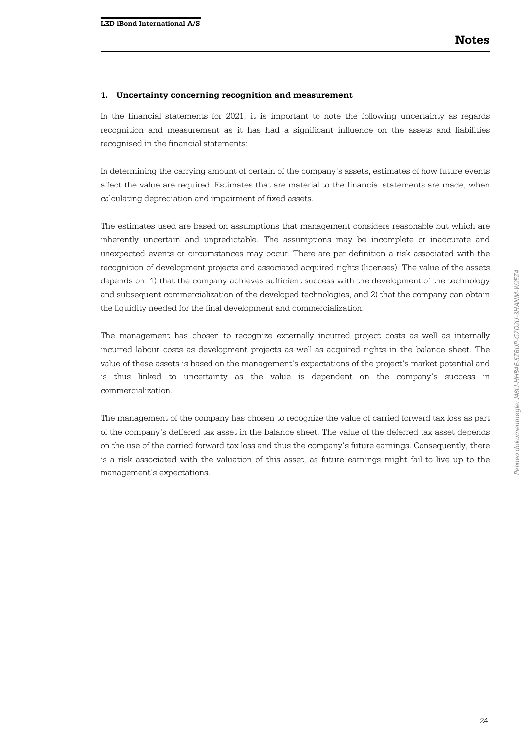#### **1. Uncertainty concerning recognition and measurement**

In the financial statements for 2021, it is important to note the following uncertainty as regards recognition and measurement as it has had a significant influence on the assets and liabilities recognised in the financial statements:

In determining the carrying amount of certain of the company's assets, estimates of how future events affect the value are required. Estimates that are material to the financial statements are made, when calculating depreciation and impairment of fixed assets.

The estimates used are based on assumptions that management considers reasonable but which are inherently uncertain and unpredictable. The assumptions may be incomplete or inaccurate and unexpected events or circumstances may occur. There are per definition a risk associated with the recognition of development projects and associated acquired rights (licenses). The value of the assets depends on: 1) that the company achieves sufficient success with the development of the technology and subsequent commercialization of the developed technologies, and 2) that the company can obtain the liquidity needed for the final development and commercialization.

The management has chosen to recognize externally incurred project costs as well as internally incurred labour costs as development projects as well as acquired rights in the balance sheet. The value of these assets is based on the management's expectations of the project's market potential and is thus linked to uncertainty as the value is dependent on the company's success in commercialization.

The management of the company has chosen to recognize the value of carried forward tax loss as part of the company's deffered tax asset in the balance sheet. The value of the deferred tax asset depends on the use of the carried forward tax loss and thus the company's future earnings. Consequently, there is a risk associated with the valuation of this asset, as future earnings might fail to live up to the management's expectations.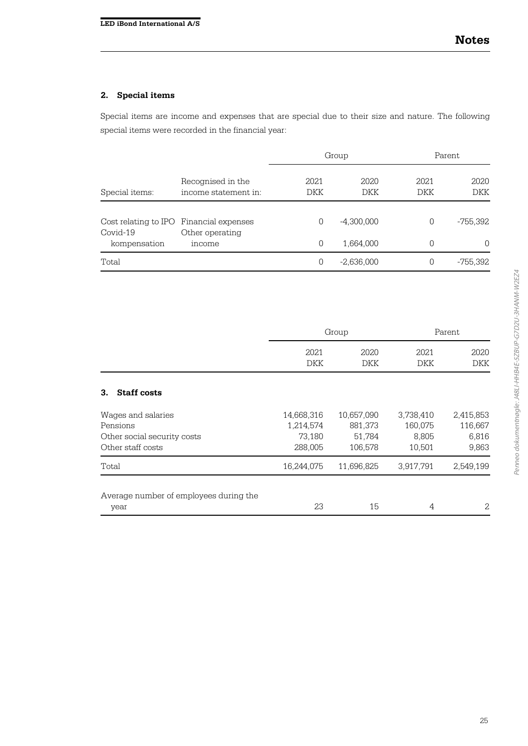# **2. Special items**

Special items are income and expenses that are special due to their size and nature. The following special items were recorded in the financial year:

|                                                     |                                           |             | Group        |             | Parent             |  |
|-----------------------------------------------------|-------------------------------------------|-------------|--------------|-------------|--------------------|--|
| Special items:                                      | Recognised in the<br>income statement in: | 2021<br>DKK | 2020<br>DKK  | 2021<br>DKK | 2020<br><b>DKK</b> |  |
| Cost relating to IPO Financial expenses<br>Covid-19 | Other operating                           | 0           | $-4,300,000$ | 0           | -755,392           |  |
| kompensation                                        | income                                    | 0           | 1,664,000    | 0           | $\Omega$           |  |
| Total                                               |                                           | 0           | $-2,636,000$ | 0           | -755,392           |  |

|                                                                                    | Group                                        |                                            |                                         | Parent                                 |
|------------------------------------------------------------------------------------|----------------------------------------------|--------------------------------------------|-----------------------------------------|----------------------------------------|
|                                                                                    | 2021<br>DKK                                  | 2020<br>DKK                                | 2021<br><b>DKK</b>                      | 2020<br>DKK                            |
| 3.<br><b>Staff costs</b>                                                           |                                              |                                            |                                         |                                        |
| Wages and salaries<br>Pensions<br>Other social security costs<br>Other staff costs | 14,668,316<br>1,214,574<br>73,180<br>288,005 | 10,657,090<br>881,373<br>51,784<br>106,578 | 3,738,410<br>160,075<br>8,805<br>10,501 | 2,415,853<br>116,667<br>6,816<br>9,863 |
| Total                                                                              | 16,244,075                                   | 11,696,825                                 | 3,917,791                               | 2,549,199                              |
| Average number of employees during the<br>year                                     | 23                                           | 15                                         | 4                                       | 2                                      |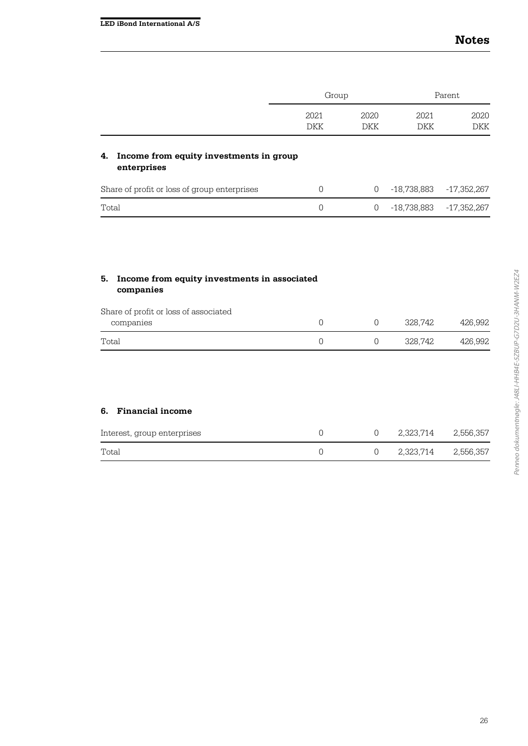|                                                              | Group              |                    |                    | Parent             |
|--------------------------------------------------------------|--------------------|--------------------|--------------------|--------------------|
|                                                              | 2021<br><b>DKK</b> | 2020<br><b>DKK</b> | 2021<br><b>DKK</b> | 2020<br><b>DKK</b> |
| Income from equity investments in group<br>4.<br>enterprises |                    |                    |                    |                    |
| Share of profit or loss of group enterprises                 | 0                  | 0                  | $-18,738,883$      | -17,352,267        |
| Total                                                        | 0                  | 0                  | $-18,738,883$      | $-17,352,267$      |
|                                                              |                    |                    |                    |                    |

| Income from equity investments in associated<br>5.<br>companies |   |   |         |         |  |  |
|-----------------------------------------------------------------|---|---|---------|---------|--|--|
| Share of profit or loss of associated<br>companies              | 0 | 0 | 328.742 | 426.992 |  |  |
| Total                                                           | 0 | 0 | 328.742 | 426.992 |  |  |
|                                                                 |   |   |         |         |  |  |

## **6. Financial income**

| Total                       |  | 2,323,714 2,556,357 |  |
|-----------------------------|--|---------------------|--|
| Interest, group enterprises |  | 2,323,714 2,556,357 |  |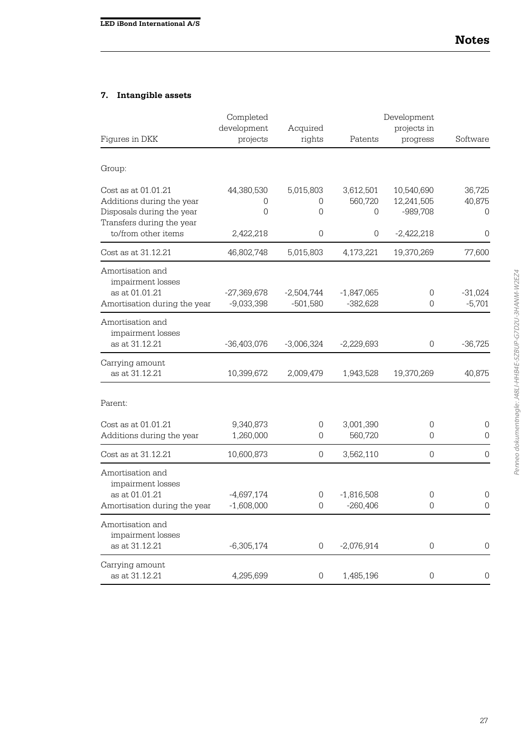# **7. Intangible assets**

|                                                  | Completed<br>development | Acquired            |              | Development<br>projects in |                     |
|--------------------------------------------------|--------------------------|---------------------|--------------|----------------------------|---------------------|
| Figures in DKK                                   | projects                 | rights              | Patents      | progress                   | Software            |
| Group:                                           |                          |                     |              |                            |                     |
| Cost as at 01.01.21                              | 44,380,530               | 5,015,803           | 3,612,501    | 10,540,690                 | 36,725              |
| Additions during the year                        | 0                        | 0                   | 560,720      | 12,241,505                 | 40,875              |
| Disposals during the year                        | 0                        | 0                   | 0            | $-989,708$                 | 0                   |
| Transfers during the year<br>to/from other items |                          | $\mathbf 0$         | 0            |                            | 0                   |
|                                                  | 2,422,218                |                     |              | $-2,422,218$               |                     |
| Cost as at 31.12.21                              | 46,802,748               | 5,015,803           | 4,173,221    | 19,370,269                 | 77,600              |
| Amortisation and<br>impairment losses            |                          |                     |              |                            |                     |
| as at 01.01.21                                   | $-27,369,678$            | $-2,504,744$        | $-1,847,065$ | 0                          | $-31,024$           |
| Amortisation during the year                     | $-9,033,398$             | $-501,580$          | $-382,628$   | 0                          | $-5,701$            |
| Amortisation and<br>impairment losses            |                          |                     |              |                            |                     |
| as at 31.12.21                                   | $-36,403,076$            | $-3,006,324$        | $-2,229,693$ | 0                          | $-36,725$           |
| Carrying amount                                  |                          |                     |              |                            |                     |
| as at 31.12.21                                   | 10,399,672               | 2,009,479           | 1,943,528    | 19,370,269                 | 40,875              |
| Parent:                                          |                          |                     |              |                            |                     |
| Cost as at 01.01.21                              | 9,340,873                | 0                   | 3,001,390    | 0                          | 0                   |
| Additions during the year                        | 1,260,000                | 0                   | 560,720      | 0                          | 0                   |
| Cost as at 31.12.21                              | 10,600,873               | 0                   | 3,562,110    | $\overline{0}$             | $\mathbf 0$         |
| Amortisation and<br>impairment losses            |                          |                     |              |                            |                     |
| as at 01.01.21                                   | $-4,697,174$             | 0                   | $-1,816,508$ | 0                          | $\mathbf 0$         |
| Amortisation during the year                     | $-1,608,000$             | 0                   | $-260,406$   | 0                          | $\Omega$            |
| Amortisation and<br>impairment losses            |                          |                     |              |                            |                     |
| as at 31.12.21                                   | $-6,305,174$             | $\boldsymbol{0}$    | $-2,076,914$ | 0                          | $\mathsf{O}\xspace$ |
| Carrying amount<br>as at 31.12.21                | 4,295,699                | $\mathsf{O}\xspace$ | 1,485,196    | $\boldsymbol{0}$           | $\mathbf 0$         |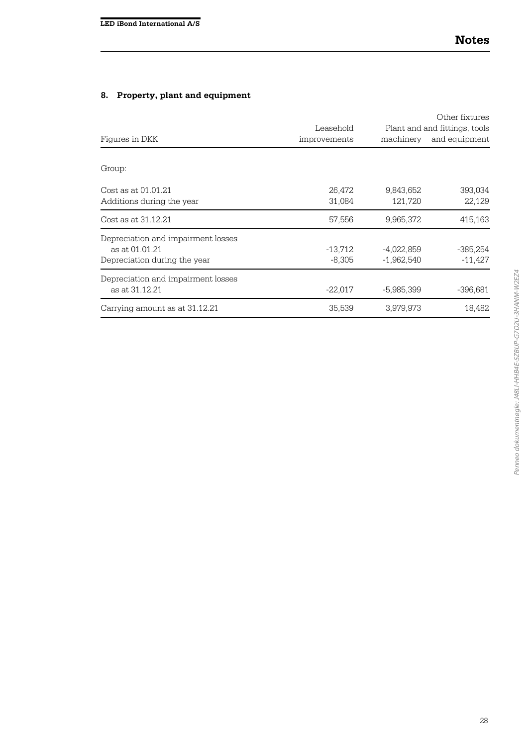# **8. Property, plant and equipment**

|                                    | Leasehold    |              | Other fixtures<br>Plant and and fittings, tools |
|------------------------------------|--------------|--------------|-------------------------------------------------|
| Figures in DKK                     | improvements | machinery    | and equipment                                   |
| Group:                             |              |              |                                                 |
| Cost as at 01.01.21                | 26,472       | 9,843,652    | 393,034                                         |
| Additions during the year          | 31,084       | 121,720      | 22,129                                          |
| Cost as at 31.12.21                | 57,556       | 9,965,372    | 415,163                                         |
| Depreciation and impairment losses |              |              |                                                 |
| as at 01.01.21                     | $-13,712$    | $-4,022,859$ | $-385,254$                                      |
| Depreciation during the year       | $-8,305$     | $-1,962,540$ | $-11,427$                                       |
| Depreciation and impairment losses |              |              |                                                 |
| as at 31.12.21                     | $-22,017$    | $-5,985,399$ | $-396,681$                                      |
| Carrying amount as at 31.12.21     | 35,539       | 3,979,973    | 18,482                                          |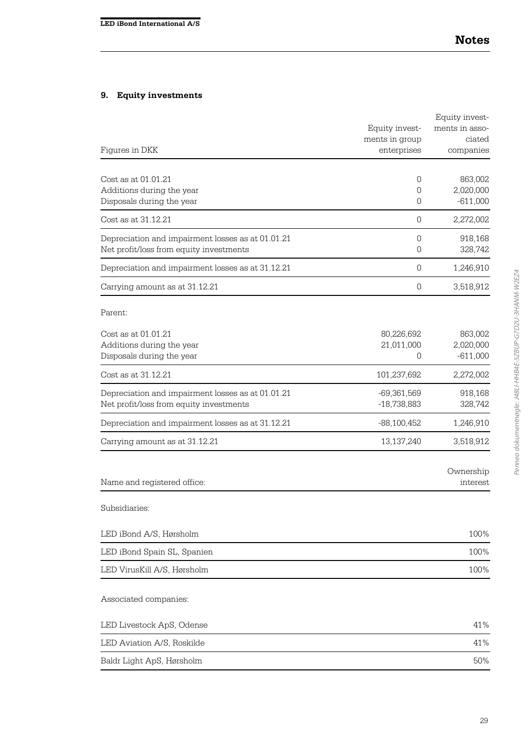# **9. Equity investments**

|                                                   |                | Equity invest- |
|---------------------------------------------------|----------------|----------------|
|                                                   | Equity invest- | ments in asso- |
|                                                   | ments in group | ciated         |
| Figures in DKK                                    | enterprises    | companies      |
| Cost as at 01.01.21                               | 0              | 863,002        |
| Additions during the year                         | 0              | 2,020,000      |
| Disposals during the year                         | 0              | $-611,000$     |
| Cost as at 31.12.21                               | 0              | 2,272,002      |
| Depreciation and impairment losses as at 01.01.21 | 0              | 918,168        |
| Net profit/loss from equity investments           | 0              | 328,742        |
| Depreciation and impairment losses as at 31.12.21 | $\mathbf 0$    | 1,246,910      |
| Carrying amount as at 31.12.21                    | 0              | 3,518,912      |
| Parent:                                           |                |                |
| Cost as at 01.01.21                               | 80,226,692     | 863,002        |
| Additions during the year                         | 21,011,000     | 2,020,000      |
| Disposals during the year                         | 0              | $-611,000$     |
| Cost as at 31.12.21                               | 101,237,692    | 2,272,002      |
| Depreciation and impairment losses as at 01.01.21 | $-69,361,569$  | 918,168        |
| Net profit/loss from equity investments           | $-18,738,883$  | 328,742        |
| Depreciation and impairment losses as at 31.12.21 | $-88,100,452$  | 1,246,910      |
| Carrying amount as at 31.12.21                    | 13,137,240     | 3,518,912      |
|                                                   |                | Ownership      |
| Name and registered office:                       |                | interest       |
| Subsidiaries:                                     |                |                |
| LED iBond A/S, Hørsholm                           |                | 100%           |
| LED iBond Spain SL, Spanien                       |                | 100%           |
| LED VirusKill A/S, Hørsholm                       |                | 100%           |
| Associated companies:                             |                |                |
| LED Livestock ApS, Odense                         |                | 41%            |
| LED Aviation A/S, Roskilde                        |                | 41%            |
| Baldr Light ApS, Hørsholm                         |                | 50%            |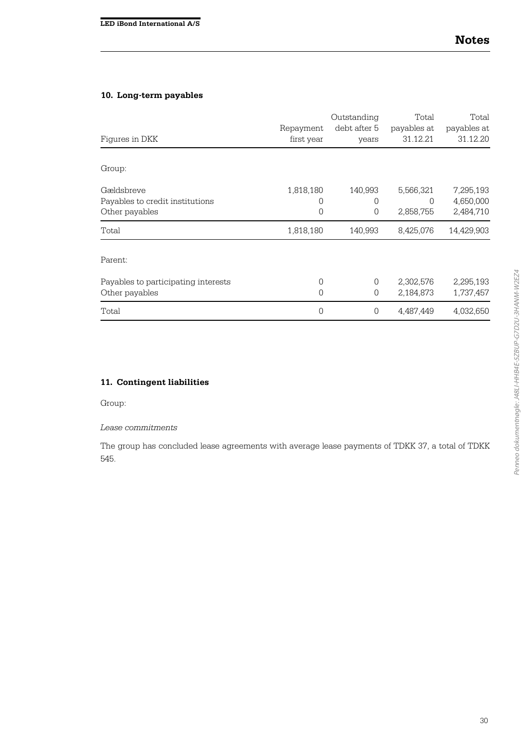### **10. Long-term payables**

|                                     |            | Outstanding  | Total       | Total       |  |
|-------------------------------------|------------|--------------|-------------|-------------|--|
|                                     | Repayment  | debt after 5 | payables at | payables at |  |
| Figures in DKK                      | first year | years        | 31.12.21    | 31.12.20    |  |
|                                     |            |              |             |             |  |
| Group:                              |            |              |             |             |  |
| Gældsbreve                          | 1,818,180  | 140,993      | 5,566,321   | 7,295,193   |  |
| Payables to credit institutions     | 0          | 0            | 0           | 4,650,000   |  |
| Other payables                      | 0          | 0            | 2,858,755   | 2,484,710   |  |
| Total                               | 1,818,180  | 140,993      | 8,425,076   | 14,429,903  |  |
| Parent:                             |            |              |             |             |  |
| Payables to participating interests | 0          | $\Omega$     | 2,302,576   | 2,295,193   |  |
| Other payables                      | 0          | 0            | 2,184,873   | 1,737,457   |  |
| Total                               | 0          | 0            | 4,487,449   | 4,032,650   |  |

# **11. Contingent liabilities**

Group:

#### *Lease commitments*

The group has concluded lease agreements with average lease payments of TDKK 37, a total of TDKK 545.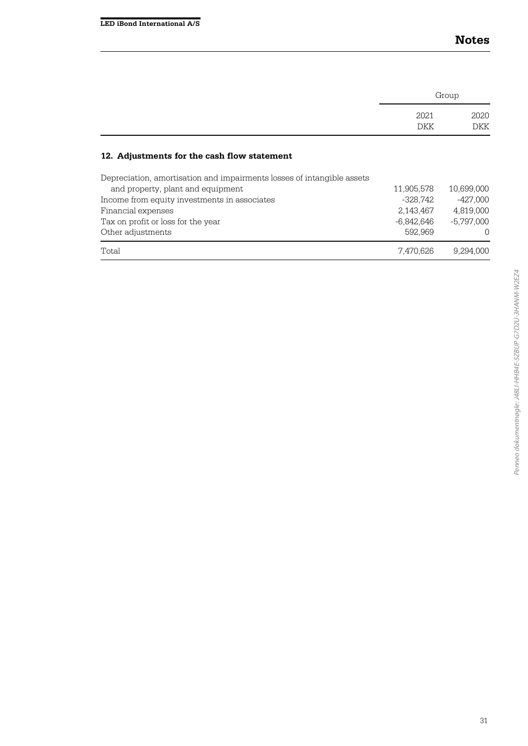|                                                                        | Group      |              |
|------------------------------------------------------------------------|------------|--------------|
|                                                                        | 2021       | 2020         |
|                                                                        | DKK        | <b>DKK</b>   |
| 12. Adjustments for the cash flow statement                            |            |              |
| Depreciation, amortisation and impairments losses of intangible assets |            |              |
| and property, plant and equipment                                      | 11.905.578 | 10.699.000   |
| Income from equity investments in associates                           | -328.742   | -427.000     |
| Financial expenses                                                     | 2,143,467  | 4.819.000    |
| Tax on profit or loss for the year                                     | -6,842,646 | $-5.797.000$ |
| Other adjustments                                                      | 592,969    | $\left($     |
| Total                                                                  | 7.470.626  | 9.294.000    |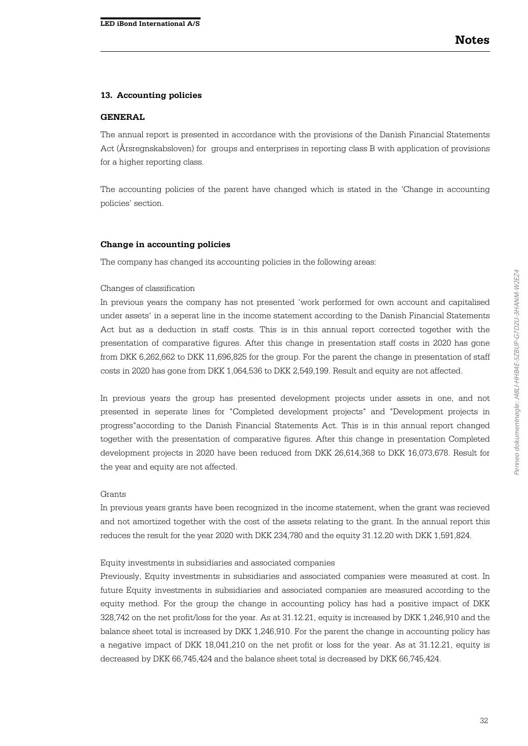#### **13. Accounting policies**

#### **GENERAL**

The annual report is presented in accordance with the provisions of the Danish Financial Statements Act (Årsregnskabsloven) for groups and enterprises in reporting class B with application of provisions for a higher reporting class.

The accounting policies of the parent have changed which is stated in the 'Change in accounting policies' section.

#### **Change in accounting policies**

The company has changed its accounting policies in the following areas:

#### Changes of classification

In previous years the company has not presented 'work performed for own account and capitalised under assets' in a seperat line in the income statement according to the Danish Financial Statements Act but as a deduction in staff costs. This is in this annual report corrected together with the presentation of comparative figures. After this change in presentation staff costs in 2020 has gone from DKK 6,262,662 to DKK 11,696,825 for the group. For the parent the change in presentation of staff costs in 2020 has gone from DKK 1,064,536 to DKK 2,549,199. Result and equity are not affected.

In previous years the group has presented development projects under assets in one, and not presented in seperate lines for "Completed development projects" and "Development projects in progress"according to the Danish Financial Statements Act. This is in this annual report changed together with the presentation of comparative figures. After this change in presentation Completed development projects in 2020 have been reduced from DKK 26,614,368 to DKK 16,073,678. Result for the year and equity are not affected.

#### Grants

In previous years grants have been recognized in the income statement, when the grant was recieved and not amortized together with the cost of the assets relating to the grant. In the annual report this reduces the result for the year 2020 with DKK 234,780 and the equity 31.12.20 with DKK 1,591,824.

#### Equity investments in subsidiaries and associated companies

Previously, Equity investments in subsidiaries and associated companies were measured at cost. In future Equity investments in subsidiaries and associated companies are measured according to the equity method. For the group the change in accounting policy has had a positive impact of DKK 328,742 on the net profit/loss for the year. As at 31.12.21, equity is increased by DKK 1,246,910 and the balance sheet total is increased by DKK 1,246,910. For the parent the change in accounting policy has a negative impact of DKK 18,041,210 on the net profit or loss for the year. As at 31.12.21, equity is decreased by DKK 66,745,424 and the balance sheet total is decreased by DKK 66,745,424.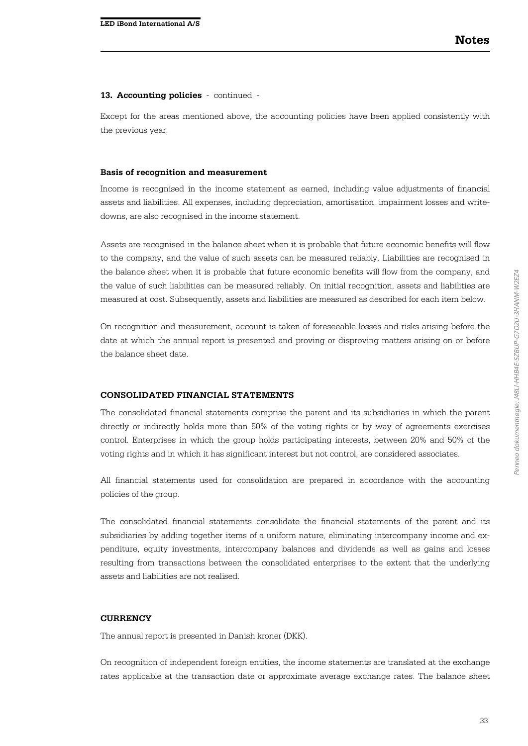Except for the areas mentioned above, the accounting policies have been applied consistently with the previous year.

#### **Basis of recognition and measurement**

Income is recognised in the income statement as earned, including value adjustments of financial assets and liabilities. All expenses, including depreciation, amortisation, impairment losses and writedowns, are also recognised in the income statement.

Assets are recognised in the balance sheet when it is probable that future economic benefits will flow to the company, and the value of such assets can be measured reliably. Liabilities are recognised in the balance sheet when it is probable that future economic benefits will flow from the company, and the value of such liabilities can be measured reliably. On initial recognition, assets and liabilities are measured at cost. Subsequently, assets and liabilities are measured as described for each item below.

On recognition and measurement, account is taken of foreseeable losses and risks arising before the date at which the annual report is presented and proving or disproving matters arising on or before the balance sheet date.

#### **CONSOLIDATED FINANCIAL STATEMENTS**

The consolidated financial statements comprise the parent and its subsidiaries in which the parent directly or indirectly holds more than 50% of the voting rights or by way of agreements exercises control. Enterprises in which the group holds participating interests, between 20% and 50% of the voting rights and in which it has significant interest but not control, are considered associates.

All financial statements used for consolidation are prepared in accordance with the accounting policies of the group.

The consolidated financial statements consolidate the financial statements of the parent and its subsidiaries by adding together items of a uniform nature, eliminating intercompany income and expenditure, equity investments, intercompany balances and dividends as well as gains and losses resulting from transactions between the consolidated enterprises to the extent that the underlying assets and liabilities are not realised.

#### **CURRENCY**

The annual report is presented in Danish kroner (DKK).

On recognition of independent foreign entities, the income statements are translated at the exchange rates applicable at the transaction date or approximate average exchange rates. The balance sheet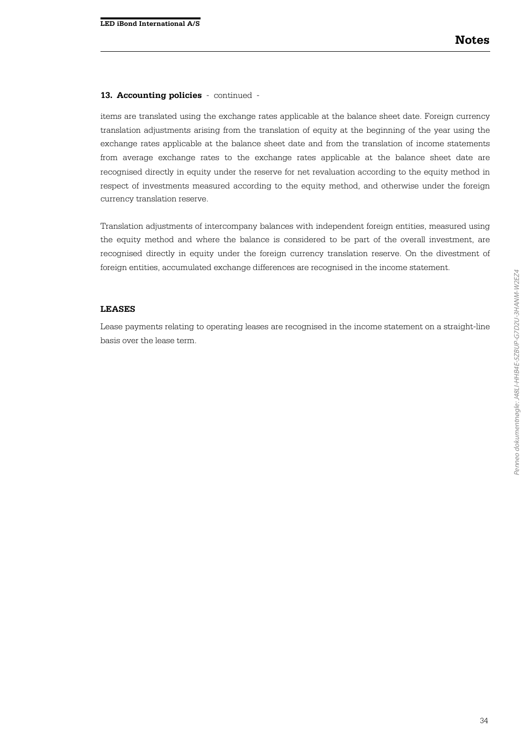items are translated using the exchange rates applicable at the balance sheet date. Foreign currency translation adjustments arising from the translation of equity at the beginning of the year using the exchange rates applicable at the balance sheet date and from the translation of income statements from average exchange rates to the exchange rates applicable at the balance sheet date are recognised directly in equity under the reserve for net revaluation according to the equity method in respect of investments measured according to the equity method, and otherwise under the foreign currency translation reserve.

Translation adjustments of intercompany balances with independent foreign entities, measured using the equity method and where the balance is considered to be part of the overall investment, are recognised directly in equity under the foreign currency translation reserve. On the divestment of foreign entities, accumulated exchange differences are recognised in the income statement.

#### **LEASES**

Lease payments relating to operating leases are recognised in the income statement on a straight-line basis over the lease term.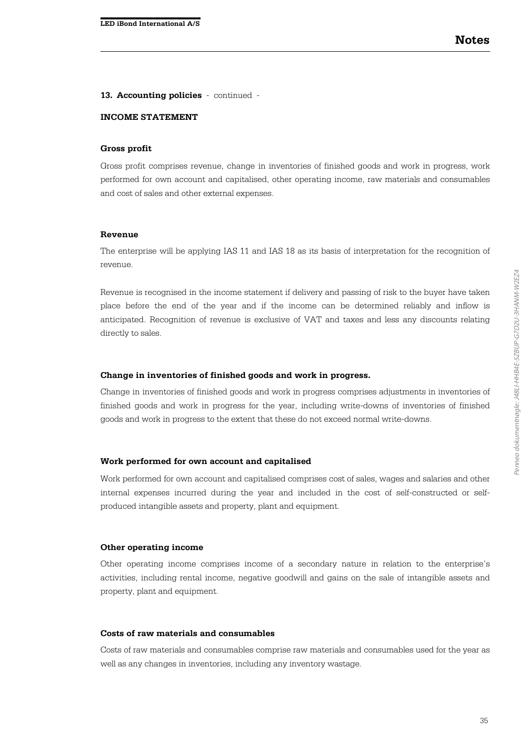#### **INCOME STATEMENT**

#### **Gross profit**

Gross profit comprises revenue, change in inventories of finished goods and work in progress, work performed for own account and capitalised, other operating income, raw materials and consumables and cost of sales and other external expenses.

#### **Revenue**

The enterprise will be applying IAS 11 and IAS 18 as its basis of interpretation for the recognition of revenue.

Revenue is recognised in the income statement if delivery and passing of risk to the buyer have taken place before the end of the year and if the income can be determined reliably and inflow is anticipated. Recognition of revenue is exclusive of VAT and taxes and less any discounts relating directly to sales.

#### **Change in inventories of finished goods and work in progress.**

Change in inventories of finished goods and work in progress comprises adjustments in inventories of finished goods and work in progress for the year, including write-downs of inventories of finished goods and work in progress to the extent that these do not exceed normal write-downs.

#### **Work performed for own account and capitalised**

Work performed for own account and capitalised comprises cost of sales, wages and salaries and other internal expenses incurred during the year and included in the cost of self-constructed or selfproduced intangible assets and property, plant and equipment.

#### **Other operating income**

Other operating income comprises income of a secondary nature in relation to the enterprise's activities, including rental income, negative goodwill and gains on the sale of intangible assets and property, plant and equipment.

#### **Costs of raw materials and consumables**

Costs of raw materials and consumables comprise raw materials and consumables used for the year as well as any changes in inventories, including any inventory wastage.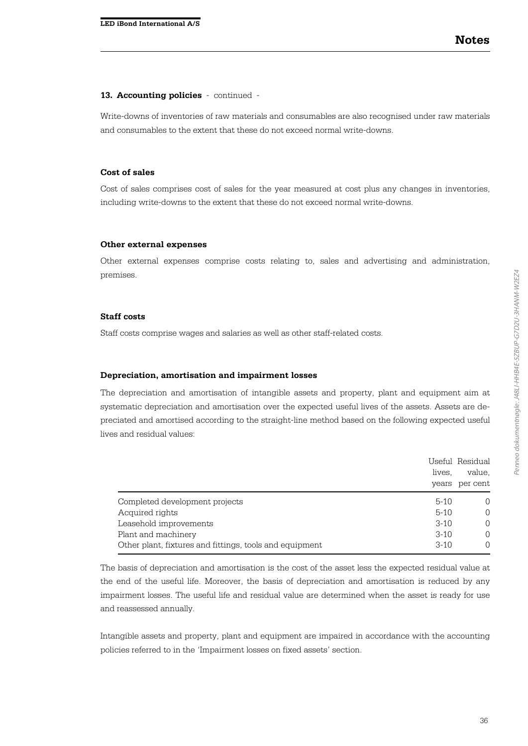Write-downs of inventories of raw materials and consumables are also recognised under raw materials and consumables to the extent that these do not exceed normal write-downs.

#### **Cost of sales**

Cost of sales comprises cost of sales for the year measured at cost plus any changes in inventories, including write-downs to the extent that these do not exceed normal write-downs.

#### **Other external expenses**

Other external expenses comprise costs relating to, sales and advertising and administration, premises.

#### **Staff costs**

Staff costs comprise wages and salaries as well as other staff-related costs.

#### **Depreciation, amortisation and impairment losses**

The depreciation and amortisation of intangible assets and property, plant and equipment aim at systematic depreciation and amortisation over the expected useful lives of the assets. Assets are depreciated and amortised according to the straight-line method based on the following expected useful lives and residual values:

|                                                         | lives.   | Useful Residual<br>value,<br>years per cent |
|---------------------------------------------------------|----------|---------------------------------------------|
| Completed development projects                          | $5 - 10$ | $\Omega$                                    |
| Acquired rights                                         | $5 - 10$ | $\Omega$                                    |
| Leasehold improvements                                  | $3 - 10$ | $\Omega$                                    |
| Plant and machinery                                     | $3 - 10$ | $\Omega$                                    |
| Other plant, fixtures and fittings, tools and equipment | $3 - 10$ | $\Omega$                                    |

The basis of depreciation and amortisation is the cost of the asset less the expected residual value at the end of the useful life. Moreover, the basis of depreciation and amortisation is reduced by any impairment losses. The useful life and residual value are determined when the asset is ready for use and reassessed annually.

Intangible assets and property, plant and equipment are impaired in accordance with the accounting policies referred to in the 'Impairment losses on fixed assets' section.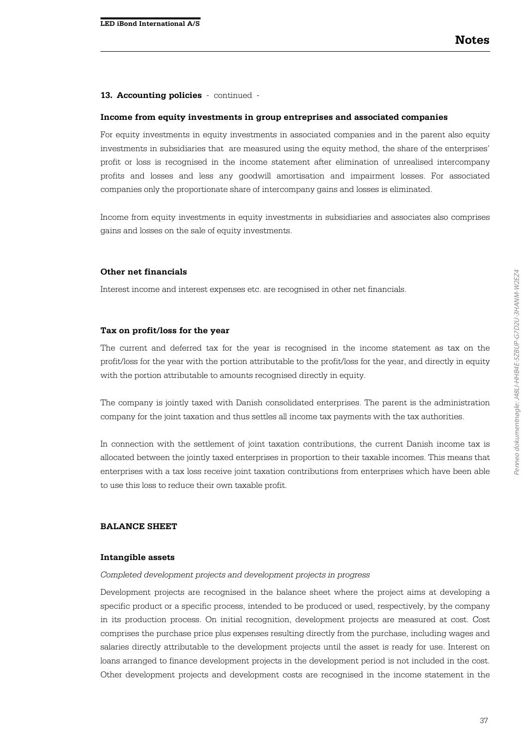#### **Income from equity investments in group entreprises and associated companies**

For equity investments in equity investments in associated companies and in the parent also equity investments in subsidiaries that are measured using the equity method, the share of the enterprises' profit or loss is recognised in the income statement after elimination of unrealised intercompany profits and losses and less any goodwill amortisation and impairment losses. For associated companies only the proportionate share of intercompany gains and losses is eliminated.

Income from equity investments in equity investments in subsidiaries and associates also comprises gains and losses on the sale of equity investments.

#### **Other net financials**

Interest income and interest expenses etc. are recognised in other net financials.

#### **Tax on profit/loss for the year**

The current and deferred tax for the year is recognised in the income statement as tax on the profit/loss for the year with the portion attributable to the profit/loss for the year, and directly in equity with the portion attributable to amounts recognised directly in equity.

The company is jointly taxed with Danish consolidated enterprises. The parent is the administration company for the joint taxation and thus settles all income tax payments with the tax authorities.

In connection with the settlement of joint taxation contributions, the current Danish income tax is allocated between the jointly taxed enterprises in proportion to their taxable incomes. This means that enterprises with a tax loss receive joint taxation contributions from enterprises which have been able to use this loss to reduce their own taxable profit.

#### **BALANCE SHEET**

#### **Intangible assets**

*Completed development projects and development projects in progress*

Development projects are recognised in the balance sheet where the project aims at developing a specific product or a specific process, intended to be produced or used, respectively, by the company in its production process. On initial recognition, development projects are measured at cost. Cost comprises the purchase price plus expenses resulting directly from the purchase, including wages and salaries directly attributable to the development projects until the asset is ready for use. Interest on loans arranged to finance development projects in the development period is not included in the cost. Other development projects and development costs are recognised in the income statement in the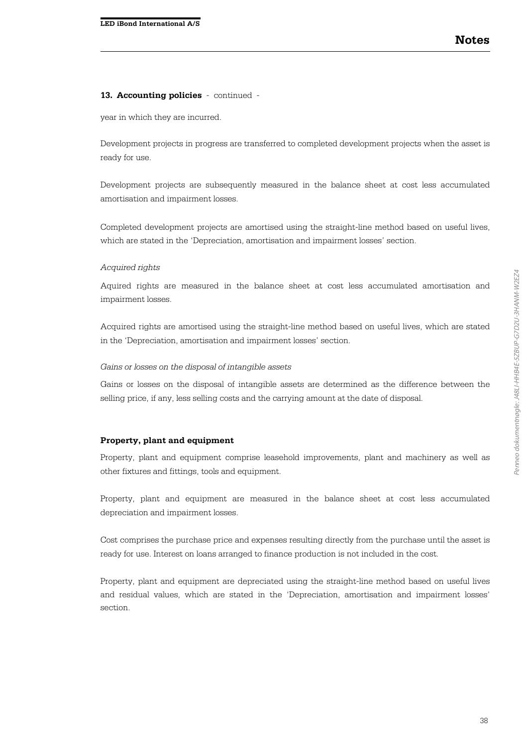year in which they are incurred.

Development projects in progress are transferred to completed development projects when the asset is ready for use.

Development projects are subsequently measured in the balance sheet at cost less accumulated amortisation and impairment losses.

Completed development projects are amortised using the straight-line method based on useful lives, which are stated in the 'Depreciation, amortisation and impairment losses' section.

#### *Acquired rights*

Aquired rights are measured in the balance sheet at cost less accumulated amortisation and impairment losses.

Acquired rights are amortised using the straight-line method based on useful lives, which are stated in the 'Depreciation, amortisation and impairment losses' section.

#### *Gains or losses on the disposal of intangible assets*

Gains or losses on the disposal of intangible assets are determined as the difference between the selling price, if any, less selling costs and the carrying amount at the date of disposal.

#### **Property, plant and equipment**

Property, plant and equipment comprise leasehold improvements, plant and machinery as well as other fixtures and fittings, tools and equipment.

Property, plant and equipment are measured in the balance sheet at cost less accumulated depreciation and impairment losses.

Cost comprises the purchase price and expenses resulting directly from the purchase until the asset is ready for use. Interest on loans arranged to finance production is not included in the cost.

Property, plant and equipment are depreciated using the straight-line method based on useful lives and residual values, which are stated in the 'Depreciation, amortisation and impairment losses' section.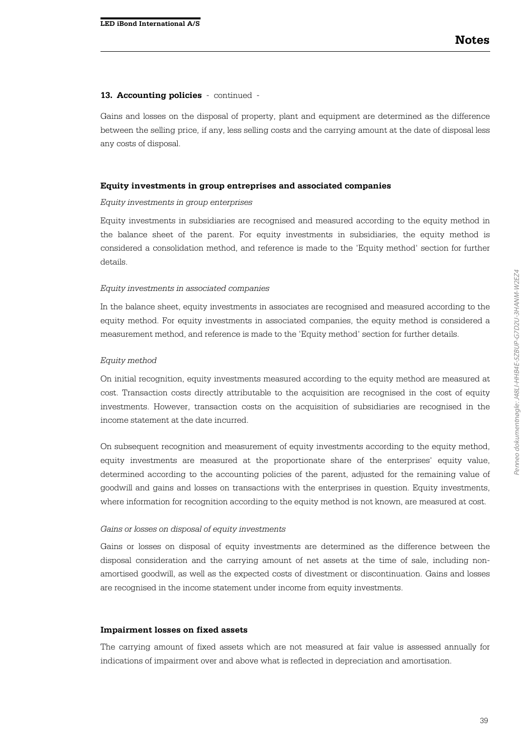Gains and losses on the disposal of property, plant and equipment are determined as the difference between the selling price, if any, less selling costs and the carrying amount at the date of disposal less any costs of disposal.

#### **Equity investments in group entreprises and associated companies**

#### *Equity investments in group enterprises*

Equity investments in subsidiaries are recognised and measured according to the equity method in the balance sheet of the parent. For equity investments in subsidiaries, the equity method is considered a consolidation method, and reference is made to the 'Equity method' section for further details.

#### *Equity investments in associated companies*

In the balance sheet, equity investments in associates are recognised and measured according to the equity method. For equity investments in associated companies, the equity method is considered a measurement method, and reference is made to the 'Equity method' section for further details.

#### *Equity method*

On initial recognition, equity investments measured according to the equity method are measured at cost. Transaction costs directly attributable to the acquisition are recognised in the cost of equity investments. However, transaction costs on the acquisition of subsidiaries are recognised in the income statement at the date incurred.

On subsequent recognition and measurement of equity investments according to the equity method, equity investments are measured at the proportionate share of the enterprises' equity value, determined according to the accounting policies of the parent, adjusted for the remaining value of goodwill and gains and losses on transactions with the enterprises in question. Equity investments, where information for recognition according to the equity method is not known, are measured at cost.

#### *Gains or losses on disposal of equity investments*

Gains or losses on disposal of equity investments are determined as the difference between the disposal consideration and the carrying amount of net assets at the time of sale, including nonamortised goodwill, as well as the expected costs of divestment or discontinuation. Gains and losses are recognised in the income statement under income from equity investments.

#### **Impairment losses on fixed assets**

The carrying amount of fixed assets which are not measured at fair value is assessed annually for indications of impairment over and above what is reflected in depreciation and amortisation.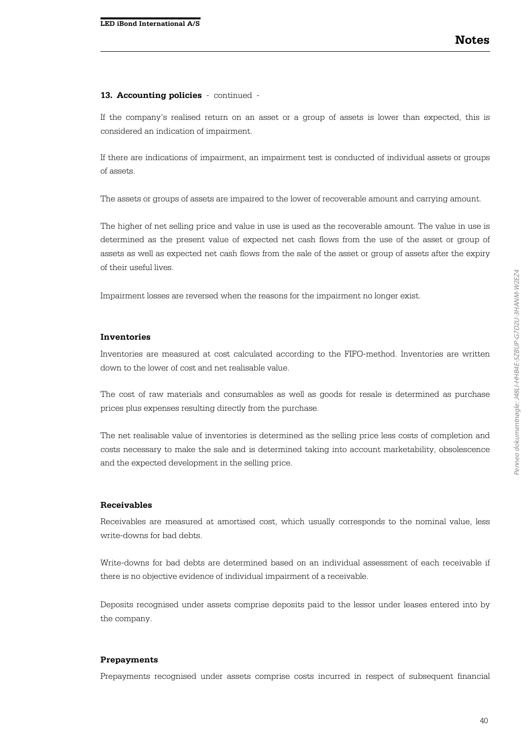If the company's realised return on an asset or a group of assets is lower than expected, this is considered an indication of impairment.

If there are indications of impairment, an impairment test is conducted of individual assets or groups of assets.

The assets or groups of assets are impaired to the lower of recoverable amount and carrying amount.

The higher of net selling price and value in use is used as the recoverable amount. The value in use is determined as the present value of expected net cash flows from the use of the asset or group of assets as well as expected net cash flows from the sale of the asset or group of assets after the expiry of their useful lives.

Impairment losses are reversed when the reasons for the impairment no longer exist.

#### **Inventories**

Inventories are measured at cost calculated according to the FIFO-method. Inventories are written down to the lower of cost and net realisable value.

The cost of raw materials and consumables as well as goods for resale is determined as purchase prices plus expenses resulting directly from the purchase.

The net realisable value of inventories is determined as the selling price less costs of completion and costs necessary to make the sale and is determined taking into account marketability, obsolescence and the expected development in the selling price.

#### **Receivables**

Receivables are measured at amortised cost, which usually corresponds to the nominal value, less write-downs for bad debts.

Write-downs for bad debts are determined based on an individual assessment of each receivable if there is no objective evidence of individual impairment of a receivable.

Deposits recognised under assets comprise deposits paid to the lessor under leases entered into by the company.

#### **Prepayments**

Prepayments recognised under assets comprise costs incurred in respect of subsequent financial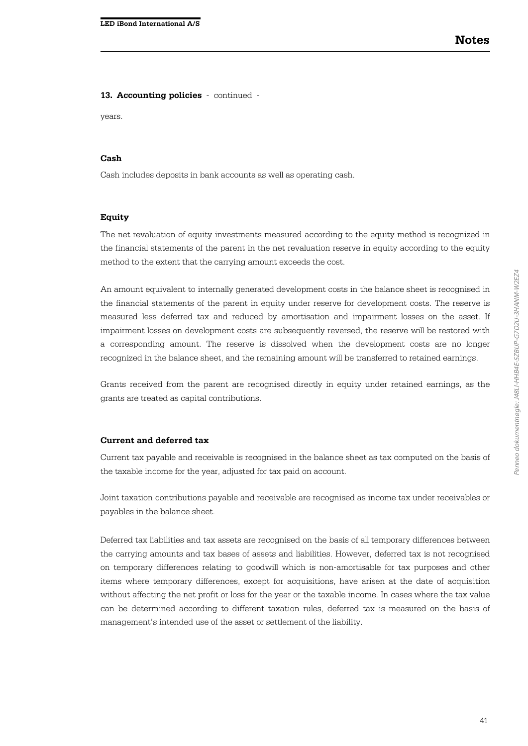years.

#### **Cash**

Cash includes deposits in bank accounts as well as operating cash.

#### **Equity**

The net revaluation of equity investments measured according to the equity method is recognized in the financial statements of the parent in the net revaluation reserve in equity according to the equity method to the extent that the carrying amount exceeds the cost.

An amount equivalent to internally generated development costs in the balance sheet is recognised in the financial statements of the parent in equity under reserve for development costs. The reserve is measured less deferred tax and reduced by amortisation and impairment losses on the asset. If impairment losses on development costs are subsequently reversed, the reserve will be restored with a corresponding amount. The reserve is dissolved when the development costs are no longer recognized in the balance sheet, and the remaining amount will be transferred to retained earnings.

Grants received from the parent are recognised directly in equity under retained earnings, as the grants are treated as capital contributions.

#### **Current and deferred tax**

Current tax payable and receivable is recognised in the balance sheet as tax computed on the basis of the taxable income for the year, adjusted for tax paid on account.

Joint taxation contributions payable and receivable are recognised as income tax under receivables or payables in the balance sheet.

Deferred tax liabilities and tax assets are recognised on the basis of all temporary differences between the carrying amounts and tax bases of assets and liabilities. However, deferred tax is not recognised on temporary differences relating to goodwill which is non-amortisable for tax purposes and other items where temporary differences, except for acquisitions, have arisen at the date of acquisition without affecting the net profit or loss for the year or the taxable income. In cases where the tax value can be determined according to different taxation rules, deferred tax is measured on the basis of management's intended use of the asset or settlement of the liability.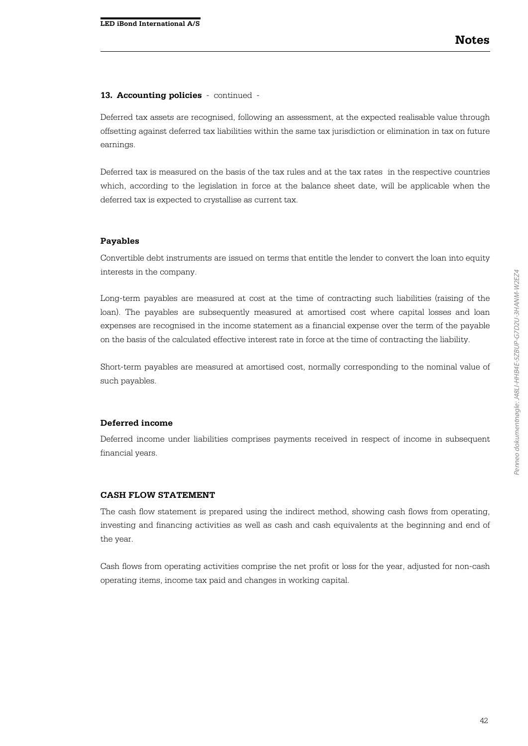Deferred tax assets are recognised, following an assessment, at the expected realisable value through offsetting against deferred tax liabilities within the same tax jurisdiction or elimination in tax on future earnings.

Deferred tax is measured on the basis of the tax rules and at the tax rates in the respective countries which, according to the legislation in force at the balance sheet date, will be applicable when the deferred tax is expected to crystallise as current tax.

#### **Payables**

Convertible debt instruments are issued on terms that entitle the lender to convert the loan into equity interests in the company.

Long-term payables are measured at cost at the time of contracting such liabilities (raising of the loan). The payables are subsequently measured at amortised cost where capital losses and loan expenses are recognised in the income statement as a financial expense over the term of the payable on the basis of the calculated effective interest rate in force at the time of contracting the liability.

Short-term payables are measured at amortised cost, normally corresponding to the nominal value of such payables.

#### **Deferred income**

Deferred income under liabilities comprises payments received in respect of income in subsequent financial years.

#### **CASH FLOW STATEMENT**

The cash flow statement is prepared using the indirect method, showing cash flows from operating, investing and financing activities as well as cash and cash equivalents at the beginning and end of the year.

Cash flows from operating activities comprise the net profit or loss for the year, adjusted for non-cash operating items, income tax paid and changes in working capital.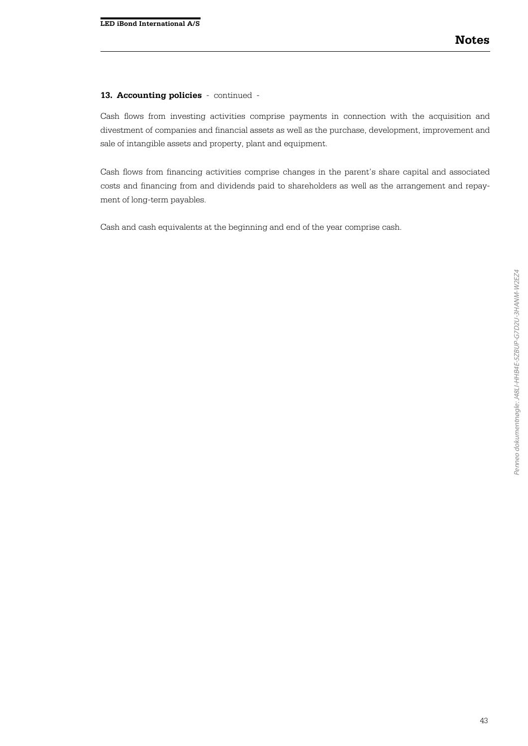Cash flows from investing activities comprise payments in connection with the acquisition and divestment of companies and financial assets as well as the purchase, development, improvement and sale of intangible assets and property, plant and equipment.

Cash flows from financing activities comprise changes in the parent's share capital and associated costs and financing from and dividends paid to shareholders as well as the arrangement and repayment of long-term payables.

Cash and cash equivalents at the beginning and end of the year comprise cash.